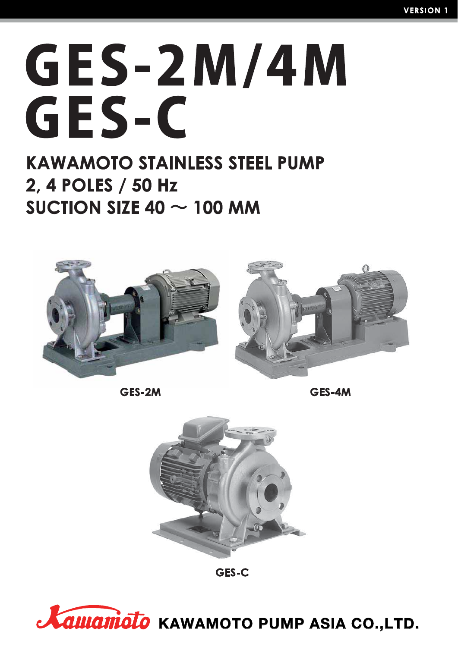# **GES-2M/4M** GES-C

# **KAWAMOTO STAINLESS STEEL PUMP** 2, 4 POLES / 50 Hz SUCTION SIZE 40  $\sim$  100 MM



GES-2M

**GES-AM** 





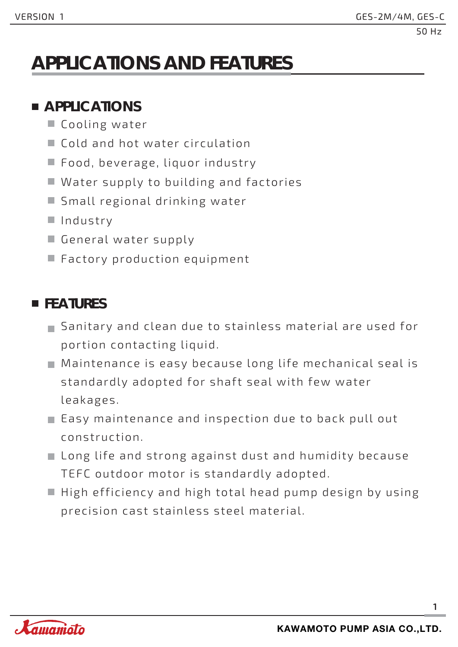# **APPLICATIONS AND FEATURES**

### **APPLICATIONS**

- Cooling water
- Cold and hot water circulation
- Food, beverage, liquor industry
- Water supply to building and factories
- Small regional drinking water
- Industry
- General water supply
- Factory production equipment

### **FEATURES**

- Sanitary and clean due to stainless material are used for portion contacting liquid.
- Maintenance is easy because long life mechanical seal is standardly adopted for shaft seal with few water leakages.
- Easy maintenance and inspection due to back pull out construction.
- Long life and strong against dust and humidity because TEFC outdoor motor is standardly adopted.
- $\blacksquare$  High efficiency and high total head pump design by using precision cast stainless steel material.

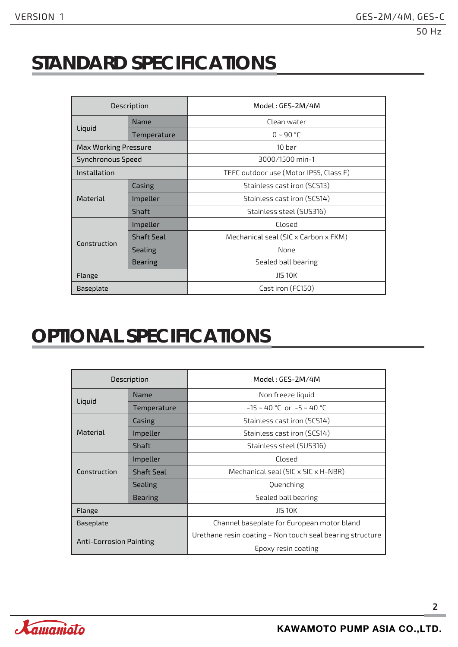# **STANDARD SPECIFICATIONS**

| Description                 |                   | Model: GES-2M/4M                       |  |  |
|-----------------------------|-------------------|----------------------------------------|--|--|
|                             | Name              | Clean water                            |  |  |
| Liquid                      | Temperature       | $0 - 90$ °C                            |  |  |
| <b>Max Working Pressure</b> |                   | 10 <sub>bar</sub>                      |  |  |
| <b>Synchronous Speed</b>    |                   | 3000/1500 min-1                        |  |  |
| Installation                |                   | TEFC outdoor use (Motor IP55, Class F) |  |  |
|                             | Casing            | Stainless cast iron (SCS13)            |  |  |
| Material                    | Impeller          | Stainless cast iron (SCS14)            |  |  |
|                             | Shaft             | Stainless steel (SUS316)               |  |  |
|                             | Impeller          | Closed                                 |  |  |
|                             | <b>Shaft Seal</b> | Mechanical seal (SIC x Carbon x FKM)   |  |  |
| Construction                | Sealing           | None                                   |  |  |
|                             | <b>Bearing</b>    | Sealed ball bearing                    |  |  |
| Flange                      |                   | <b>JIS 10K</b>                         |  |  |
| Baseplate                   |                   | Cast iron (FC150)                      |  |  |

# **OPTIONAL SPECIFICATIONS**

|                         | Description       | Model: GES-2M/4M                                          |  |  |
|-------------------------|-------------------|-----------------------------------------------------------|--|--|
| Liguid                  | Name              | Non freeze liquid                                         |  |  |
|                         | Temperature       | $-15 \sim 40$ °C or $-5 \sim 40$ °C                       |  |  |
|                         | Casing            | Stainless cast iron (SCS14)                               |  |  |
| Material                | Impeller          | Stainless cast iron (SCS14)                               |  |  |
|                         | Shaft             | Stainless steel (SUS316)                                  |  |  |
|                         | Impeller          | Closed                                                    |  |  |
| Construction            | <b>Shaft Seal</b> | Mechanical seal (SIC x SIC x H-NBR)                       |  |  |
|                         | <b>Sealing</b>    | Quenching                                                 |  |  |
|                         | <b>Bearing</b>    | Sealed ball bearing                                       |  |  |
| Flange                  |                   | <b>JIS 10K</b>                                            |  |  |
| <b>Baseplate</b>        |                   | Channel baseplate for European motor bland                |  |  |
| Anti-Corrosion Painting |                   | Urethane resin coating + Non touch seal bearing structure |  |  |
|                         |                   | Epoxy resin coating                                       |  |  |

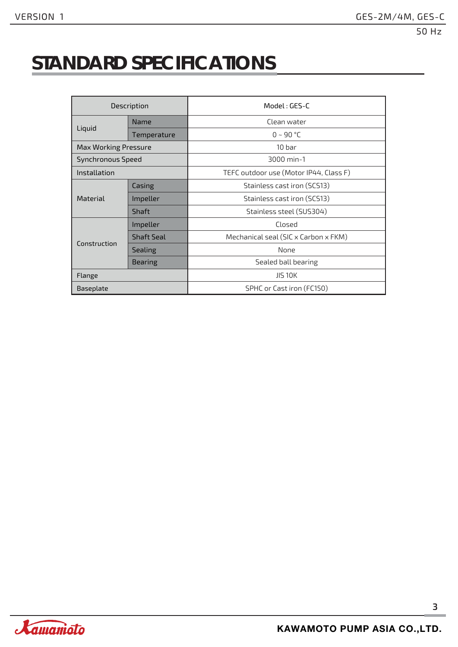# **STANDARD SPECIFICATIONS**

| Description                 |                   | Model: GES-C                           |  |  |
|-----------------------------|-------------------|----------------------------------------|--|--|
|                             | Name              | Clean water                            |  |  |
| Liquid                      | Temperature       | $0 - 90 °C$                            |  |  |
| <b>Max Working Pressure</b> |                   | 10 <sub>bar</sub>                      |  |  |
| Synchronous Speed           |                   | 3000 min-1                             |  |  |
| Installation                |                   | TEFC outdoor use (Motor IP44, Class F) |  |  |
|                             | Casing            | Stainless cast iron (SCS13)            |  |  |
| <b>Material</b>             | Impeller          | Stainless cast iron (SCS13)            |  |  |
|                             | Shaft             | Stainless steel (SUS304)               |  |  |
|                             | Impeller          | Closed                                 |  |  |
|                             | <b>Shaft Seal</b> | Mechanical seal (SIC x Carbon x FKM)   |  |  |
| Construction                | <b>Sealing</b>    | None                                   |  |  |
|                             | Bearing           | Sealed ball bearing                    |  |  |
| Flange                      |                   | <b>JIS 10K</b>                         |  |  |
| Baseplate                   |                   | SPHC or Cast iron (FC150)              |  |  |

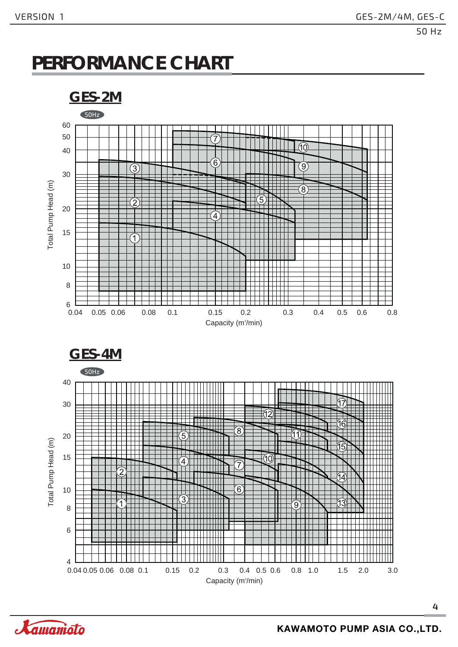# **PERFORMANCE CHART**



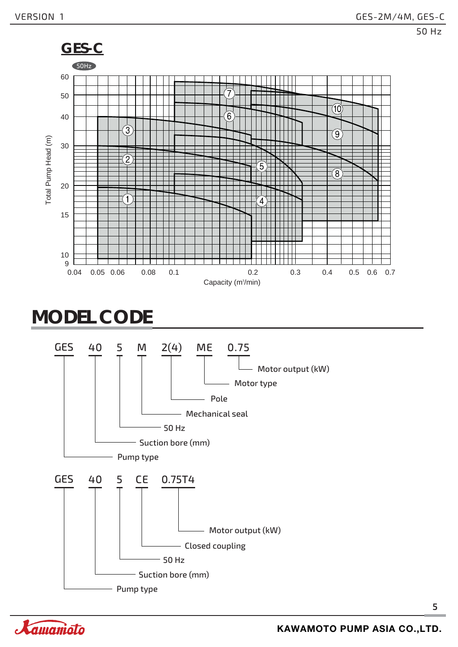

# **MODEL CODE**



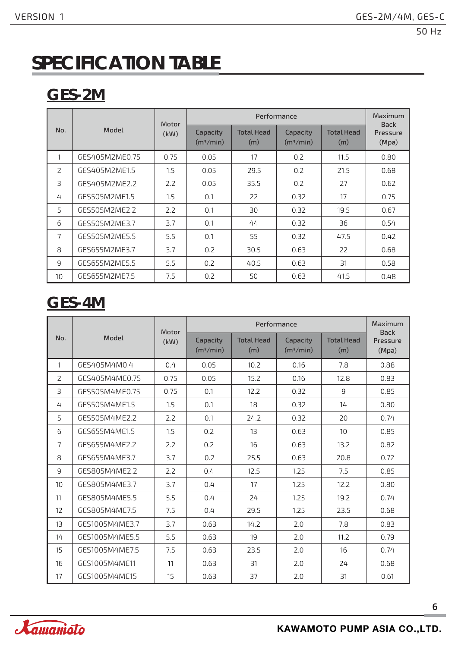# **SPECIFICATION TABLE**

# **GES-2M**

|     |                | Motor |                                   | Maximum<br><b>Back</b>   |                                   |                          |                   |
|-----|----------------|-------|-----------------------------------|--------------------------|-----------------------------------|--------------------------|-------------------|
| No. | Model          | (kW)  | Capacity<br>(m <sup>3</sup> /min) | <b>Total Head</b><br>(m) | Capacity<br>(m <sup>3</sup> /min) | <b>Total Head</b><br>(m) | Pressure<br>(Mpa) |
|     | GES405M2ME0.75 | 0.75  | 0.05                              | 17                       | 0.2                               | 11.5                     | 0.80              |
| 2   | GES405M2ME1.5  | 1.5   | 0.05                              | 29.5                     | 0.2                               | 21.5                     | 0.68              |
| 3   | GES405M2ME2.2  | 2.2   | 0.05                              | 35.5                     | 0.2                               | 27                       | 0.62              |
| 4   | GES505M2ME1.5  | 1.5   | 0.1                               | 22                       | 0.32                              | 17                       | 0.75              |
| 5   | GES505M2ME2.2  | 2.2   | 0.1                               | 30                       | 0.32                              | 19.5                     | 0.67              |
| 6   | GES505M2ME3.7  | 3.7   | 0.1                               | 44                       | 0.32                              | 36                       | 0.54              |
| 7   | GES505M2ME5.5  | 5.5   | 0.1                               | 55                       | 0.32                              | 47.5                     | 0.42              |
| 8   | GES655M2ME3.7  | 3.7   | 0.2                               | 30.5                     | 0.63                              | 22                       | 0.68              |
| 9   | GES655M2ME5.5  | 5.5   | 0.2                               | 40.5                     | 0.63                              | 31                       | 0.58              |
| 10  | GES655M2ME7.5  | 7.5   | 0.2                               | 50                       | 0.63                              | 41.5                     | 0.48              |

# **GES-4M**

|                |                | Motor |                                   | Maximum<br><b>Back</b>   |                                   |                          |                   |
|----------------|----------------|-------|-----------------------------------|--------------------------|-----------------------------------|--------------------------|-------------------|
| No.            | Model          | (kW)  | Capacity<br>(m <sup>3</sup> /min) | <b>Total Head</b><br>(m) | Capacity<br>(m <sup>3</sup> /min) | <b>Total Head</b><br>(m) | Pressure<br>(Mpa) |
| 1              | GES405M4M0.4   | 0.4   | 0.05                              | 10.2                     | 0.16                              | 7.8                      | 0.88              |
| $\overline{2}$ | GES405M4ME0.75 | 0.75  | 0.05                              | 15.2                     | 0.16                              | 12.8                     | 0.83              |
| $\exists$      | GES505M4ME0.75 | 0.75  | 0.1                               | 12.2                     | 0.32                              | 9                        | 0.85              |
| 4              | GES505M4ME1.5  | 1.5   | 0.1                               | 18                       | 0.32                              | 14                       | 0.80              |
| 5              | GES505M4ME2.2  | 2.2   | 0.1                               | 24.2                     | 0.32                              | 20                       | 0.74              |
| 6              | GES655M4ME1.5  | 1.5   | 0.2                               | 13                       | 0.63                              | 10                       | 0.85              |
| $\overline{7}$ | GES655M4ME2.2  | 2.2   | 0.2                               | 16                       | 0.63                              | 13.2                     | 0.82              |
| 8              | GES655M4ME3.7  | 3.7   | 0.2                               | 25.5                     | 0.63                              | 20.8                     | 0.72              |
| 9              | GES805M4ME2.2  | 2.2   | 0.4                               | 12.5                     | 1.25                              | 7.5                      | 0.85              |
| 10             | GES805M4ME3.7  | 3.7   | 0.4                               | 17                       | 1.25                              | 12.2                     | 0.80              |
| 11             | GES805M4ME5.5  | 5.5   | 0.4                               | 24                       | 1.25                              | 19.2                     | 0.74              |
| 12             | GES805M4ME7.5  | 7.5   | 0.4                               | 29.5                     | 1.25                              | 23.5                     | 0.68              |
| 13             | GES1005M4ME3.7 | 3.7   | 0.63                              | 14.2                     | 2.0                               | 7.8                      | 0.83              |
| 14             | GES1005M4ME5.5 | 5.5   | 0.63                              | 19                       | 2.0                               | 11.2                     | 0.79              |
| 15             | GES1005M4ME7.5 | 7.5   | 0.63                              | 23.5                     | 2.0                               | 16                       | 0.74              |
| 16             | GES1005M4ME11  | 11    | 0.63                              | 31                       | 2.0                               | 24                       | 0.68              |
| 17             | GES1005M4ME15  | 15    | 0.63                              | 37                       | 2.0                               | 31                       | 0.61              |

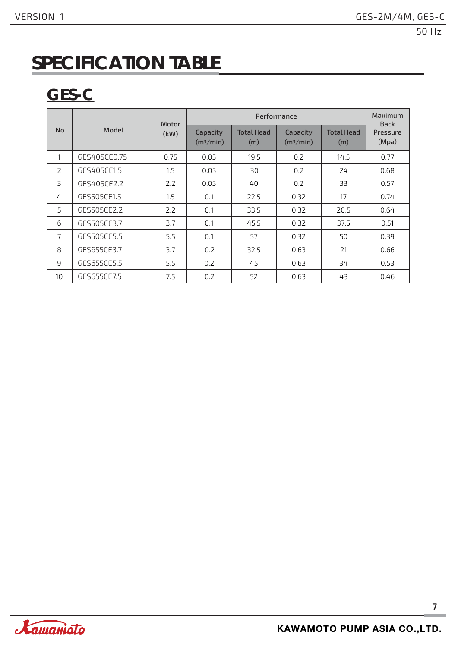# **SPECIFICATION TABLE**

# **GES-C**

|                |              | Motor |                                   | Maximum<br><b>Back</b>   |                                   |                          |                   |  |
|----------------|--------------|-------|-----------------------------------|--------------------------|-----------------------------------|--------------------------|-------------------|--|
| No.            | Model        | (kW)  | Capacity<br>(m <sup>3</sup> /min) | <b>Total Head</b><br>(m) | Capacity<br>(m <sup>3</sup> /min) | <b>Total Head</b><br>(m) | Pressure<br>(Mpa) |  |
| 1              | GES405CE0.75 | 0.75  | 0.05                              | 19.5                     | 0.2                               | 14.5                     | 0.77              |  |
| $\overline{2}$ | GES405CE1.5  | 1.5   | 0.05                              | 30                       | 0.2                               | 24                       | 0.68              |  |
| $\exists$      | GES405CE2.2  | 2.2   | 0.05                              | 40                       | 0.2                               | 33                       | 0.57              |  |
| 4              | GES505CE1.5  | 1.5   | 0.1                               | 22.5                     | 0.32                              | 17                       | 0.74              |  |
| 5              | GES505CE2.2  | 2.2   | 0.1                               | 33.5                     | 0.32                              | 20.5                     | 0.64              |  |
| 6              | GES505CE3.7  | 3.7   | 0.1                               | 45.5                     | 0.32                              | 37.5                     | 0.51              |  |
| 7              | GES505CE5.5  | 5.5   | 0.1                               | 57                       | 0.32                              | 50                       | 0.39              |  |
| 8              | GES655CE3.7  | 3.7   | 0.2                               | 32.5                     | 0.63                              | 21                       | 0.66              |  |
| 9              | GES655CE5.5  | 5.5   | 0.2                               | 45                       | 0.63                              | 34                       | 0.53              |  |
| 10             | GES655CE7.5  | 7.5   | 0.2                               | 52                       | 0.63                              | 43                       | 0.46              |  |

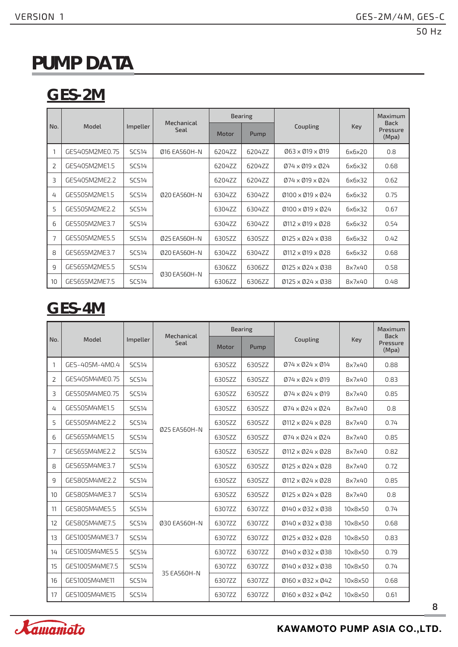# **PUMP DATA**

# **GES-2M**

|                          |                |              | Mechanical   |        | <b>Bearing</b> |                                                         |        | Maximum<br><b>Back</b> |
|--------------------------|----------------|--------------|--------------|--------|----------------|---------------------------------------------------------|--------|------------------------|
| No.                      | Model          | Impeller     | Seal         | Motor  | Pump           | Coupling                                                | Key    | Pressure<br>(Mpa)      |
|                          | GES405M2ME0.75 | <b>SCS14</b> | 016 EA560H-N | 6204ZZ | 6204ZZ         | $063 \times 019 \times 019$                             | 6x6x20 | 0.8                    |
| $\overline{2}$           | GES405M2ME1.5  | <b>SCS14</b> |              | 6204ZZ | 6204ZZ         | $Ø74 \times Ø19 \times Ø24$                             | 6x6x32 | 0.68                   |
| $\overline{\mathcal{L}}$ | GES405M2ME2.2  | <b>SCS14</b> | 020 EA560H-N | 6204ZZ | 6204ZZ         | $074 \times 019 \times 024$                             | 6x6x32 | 0.62                   |
| 4                        | GES505M2ME1.5  | <b>SCS14</b> |              | 6304ZZ | 6304ZZ         | $\varnothing$ 100 x $\varnothing$ 19 x $\varnothing$ 24 | 6x6x32 | 0.75                   |
| 5                        | GES505M2ME2.2  | <b>SCS14</b> |              | 6304ZZ | 6304ZZ         | $0100 \times 019 \times 024$                            | 6x6x32 | 0.67                   |
| 6                        | GES505M2ME3.7  | <b>SCS14</b> |              | 6304ZZ | 6304ZZ         | $\emptyset$ 112 x $\emptyset$ 19 x $\emptyset$ 28       | 6x6x32 | 0.54                   |
| 7                        | GES505M2ME5.5  | <b>SCS14</b> | 025 EA560H-N | 6305ZZ | 6305ZZ         | $0125 \times 024 \times 038$                            | 6x6x32 | 0.42                   |
| 8                        | GES655M2ME3.7  | <b>SCS14</b> | 020 EA560H-N | 6304ZZ | 6304ZZ         | $\emptyset$ 112 x $\emptyset$ 19 x $\emptyset$ 28       | 6x6x32 | 0.68                   |
| 9                        | GES655M2ME5.5  | <b>SCS14</b> |              | 6306ZZ | 6306ZZ         | $0125 \times 024 \times 038$                            | 8x7x40 | 0.58                   |
| 10                       | GES655M2ME7.5  | <b>SCS14</b> | 030 EA560H-N | 6306ZZ | 6306ZZ         | $0125 \times 024 \times 038$                            | 8x7x40 | 0.48                   |

# **GES-4M**

|     | Mechanical     |              |              | <b>Bearing</b> |        |                                                   | <b>Maximum</b><br><b>Back</b> |                   |
|-----|----------------|--------------|--------------|----------------|--------|---------------------------------------------------|-------------------------------|-------------------|
| No. | Model          | Impeller     | Seal         | Motor          | Pump   | Coupling                                          | Key                           | Pressure<br>(Mpa) |
| 1   | GES-405M-4M0.4 | <b>SCS14</b> |              | 6305ZZ         | 6305ZZ | $074 \times 024 \times 014$                       | 8x7x40                        | 0.88              |
| 2   | GES405M4ME0.75 | <b>SCS14</b> |              | 6305ZZ         | 6305ZZ | $074 \times 024 \times 019$                       | 8x7x40                        | 0.83              |
| 3   | GES505M4ME0.75 | <b>SCS14</b> |              | 6305ZZ         | 6305ZZ | $074 \times 024 \times 019$                       | 8x7x40                        | 0.85              |
| 4   | GES505M4ME1.5  | <b>SCS14</b> |              | 6305ZZ         | 6305ZZ | $074 \times 024 \times 024$                       | 8x7x40                        | 0.8               |
| 5   | GES505M4ME2.2  | <b>SCS14</b> |              | 6305ZZ         | 6305ZZ | $\emptyset$ 112 x $\emptyset$ 24 x $\emptyset$ 28 | 8x7x40                        | 0.74              |
| 6   | GES655M4ME1.5  | <b>SCS14</b> | 025 EA560H-N | 6305ZZ         | 6305ZZ | $Ø74 \times Ø24 \times Ø24$                       | 8x7x40                        | 0.85              |
| 7   | GES655M4ME2.2  | <b>SCS14</b> |              | 6305ZZ         | 6305ZZ | $\emptyset$ 112 x $\emptyset$ 24 x $\emptyset$ 28 | 8x7x40                        | 0.82              |
| 8   | GES655M4ME3.7  | <b>SCS14</b> |              | 6305ZZ         | 6305ZZ | $Ø125 \times Ø24 \times Ø28$                      | 8x7x40                        | 0.72              |
| 9   | GES805M4ME2.2  | <b>SCS14</b> |              | 6305ZZ         | 6305ZZ | $0112 \times 024 \times 028$                      | 8x7x40                        | 0.85              |
| 10  | GES805M4ME3.7  | <b>SCS14</b> |              | 6305ZZ         | 6305ZZ | $0125 \times 024 \times 028$                      | 8x7x40                        | 0.8               |
| 11  | GES805M4ME5.5  | <b>SCS14</b> |              | 6307ZZ         | 6307ZZ | $0140 \times 032 \times 038$                      | 10x8x50                       | 0.74              |
| 12  | GES805M4ME7.5  | <b>SCS14</b> | 030 EA560H-N | 6307ZZ         | 6307ZZ | $0140 \times 032 \times 038$                      | 10x8x50                       | 0.68              |
| 13  | GES1005M4ME3.7 | <b>SCS14</b> |              | 6307ZZ         | 6307ZZ | $0125 \times 032 \times 028$                      | 10x8x50                       | 0.83              |
| 14  | GES1005M4ME5.5 | <b>SCS14</b> |              | 6307ZZ         | 6307ZZ | $0140 \times 032 \times 038$                      | 10x8x50                       | 0.79              |
| 15  | GES1005M4ME7.5 | <b>SCS14</b> |              | 6307ZZ         | 6307ZZ | $0140 \times 032 \times 038$                      | 10x8x50                       | 0.74              |
| 16  | GES1005M4ME11  | <b>SCS14</b> | 35 EA560H-N  | 6307ZZ         | 6307ZZ | $0160 \times 032 \times 042$                      | 10x8x50                       | 0.68              |
| 17  | GES1005M4ME15  | <b>SCS14</b> |              | 6307ZZ         | 6307ZZ | $0160 \times 032 \times 042$                      | 10x8x50                       | 0.61              |

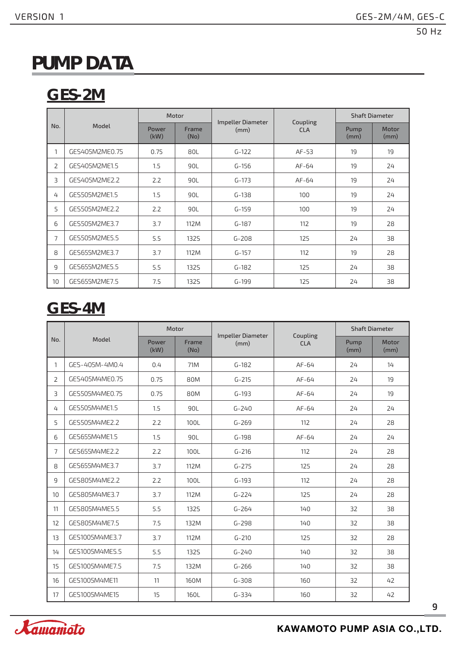# **PUMP DATA**

# **GES-2M**

|                |                | Motor         |               |                           |                        | <b>Shaft Diameter</b> |               |
|----------------|----------------|---------------|---------------|---------------------------|------------------------|-----------------------|---------------|
| No.            | Model          | Power<br>(kW) | Frame<br>(No) | Impeller Diameter<br>(mm) | Coupling<br><b>CLA</b> | Pump<br>(mm)          | Motor<br>(mm) |
| 1              | GES405M2ME0.75 | 0.75          | 80L           | $G-122$                   | $AF-53$                | 19                    | 19            |
| $\overline{2}$ | GES405M2ME1.5  | 1.5           | 90L           | $G-156$                   | AF-64                  | 19                    | 24            |
| 3              | GES405M2ME2.2  | 2.2           | 90L           | $G-173$                   | AF-64                  | 19                    | 24            |
| 4              | GES505M2ME1.5  | 1.5           | 90L           | $G-138$                   | 100                    | 19                    | 24            |
| 5              | GES505M2ME2.2  | 2.2           | 90L           | $G-159$                   | 100                    | 19                    | 24            |
| 6              | GES505M2ME3.7  | 3.7           | 112M          | $G-187$                   | 112                    | 19                    | 28            |
| $\overline{7}$ | GES505M2ME5.5  | 5.5           | <b>1325</b>   | $G - 208$                 | 125                    | 24                    | 38            |
| 8              | GES655M2ME3.7  | 3.7           | 112M          | $G-157$                   | 112                    | 19                    | 28            |
| 9              | GES655M2ME5.5  | 5.5           | <b>1325</b>   | $G-182$                   | 125                    | 24                    | 38            |
| 10             | GES655M2ME7.5  | 7.5           | 132S          | $G-199$                   | 125                    | 24                    | 38            |

# **GES-4M**

|                |                | Motor         |               |                           | <b>Shaft Diameter</b>  |              |               |
|----------------|----------------|---------------|---------------|---------------------------|------------------------|--------------|---------------|
| No.            | Model          | Power<br>(kW) | Frame<br>(No) | Impeller Diameter<br>(mm) | Coupling<br><b>CLA</b> | Pump<br>(mm) | Motor<br>(mm) |
| $\mathbf{1}$   | GES-405M-4M0.4 | 0.4           | 71M           | $G-182$                   | $AF-64$                | 24           | 14            |
| $\overline{2}$ | GES405M4ME0.75 | 0.75          | 80M           | $G - 215$                 | $AF-64$                | 24           | 19            |
| 3              | GES505M4ME0.75 | 0.75          | 80M           | $G-193$                   | $AF-64$                | 24           | 19            |
| 4              | GES505M4ME1.5  | 1.5           | 90L           | $G - 240$                 | $AF-64$                | 24           | 24            |
| 5              | GES505M4ME2.2  | 2.2           | 100L          | $G - 269$                 | 112                    | 24           | 28            |
| 6              | GES655M4ME1.5  | 1.5           | 90L           | $G-198$                   | $AF-64$                | 24           | 24            |
| $\overline{7}$ | GES655M4ME2.2  | 2.2           | 100L          | $G - 216$                 | 112                    | 24           | 28            |
| 8              | GES655M4ME3.7  | 3.7           | 112M          | $G - 275$                 | 125                    | 24           | 28            |
| 9              | GES805M4ME2.2  | 2.2           | 100L          | $G-193$                   | 112                    | 24           | 28            |
| 10             | GES805M4ME3.7  | 3.7           | 112M          | $G - 224$                 | 125                    | 24           | 28            |
| 11             | GES805M4ME5.5  | 5.5           | <b>1325</b>   | $G - 264$                 | 140                    | 32           | 38            |
| 12             | GES805M4ME7.5  | 7.5           | 132M          | $G - 298$                 | 140                    | 32           | 38            |
| 13             | GES1005M4ME3.7 | 3.7           | 112M          | $G - 210$                 | 125                    | 32           | 28            |
| 14             | GES1005M4ME5.5 | 5.5           | <b>1325</b>   | $G - 240$                 | 140                    | 32           | 38            |
| 15             | GES1005M4ME7.5 | 7.5           | 132M          | $G - 266$                 | 140                    | 32           | 38            |
| 16             | GES1005M4ME11  | 11            | 160M          | $G - 308$                 | 160                    | 32           | 42            |
| 17             | GES1005M4ME15  | 15            | 160L          | $G - 334$                 | 160                    | 32           | 42            |

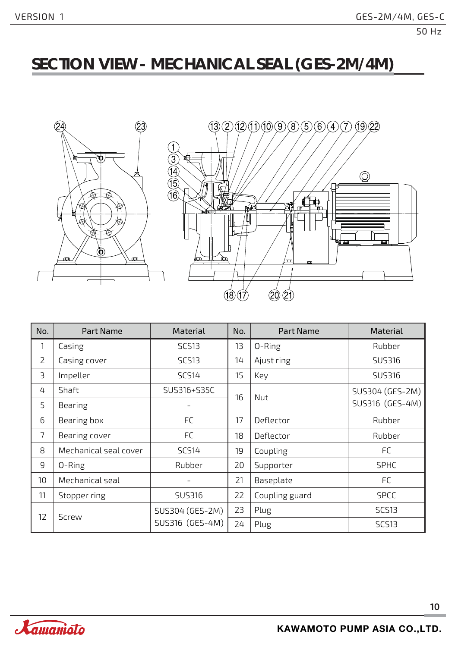### **SECTION VIEW - MECHANICAL SEAL (GES-2M/4M)**





| No.             | Part Name             | <b>Material</b>   | No. | Part Name      | Material        |
|-----------------|-----------------------|-------------------|-----|----------------|-----------------|
| 1               | Casing                | SCS <sub>13</sub> | 13  | 0-Ring         | Rubber          |
| $\overline{2}$  | Casing cover          | <b>SCS13</b>      | 14  | Ajust ring     | <b>SUS316</b>   |
| 3               | Impeller              | <b>SCS14</b>      | 15  | Key            | <b>SUS316</b>   |
| 4               | Shaft                 | SUS316+S35C       | 16  | Nut            | SUS304 (GES-2M) |
| 5               | <b>Bearing</b>        |                   |     |                | SUS316 (GES-4M) |
| 6               | Bearing box           | <b>FC</b>         | 17  | Deflector      | Rubber          |
| 7               | Bearing cover         | <b>FC</b>         | 18  | Deflector      | Rubber          |
| 8               | Mechanical seal cover | <b>SCS14</b>      | 19  | Coupling       | FC              |
| 9               | 0-Ring                | Rubber            | 20  | Supporter      | <b>SPHC</b>     |
| 10 <sup>1</sup> | Mechanical seal       |                   | 21  | Baseplate      | <b>FC</b>       |
| 11              | Stopper ring          | SUS316            | 22  | Coupling guard | <b>SPCC</b>     |
| 12              | <b>Screw</b>          | SUS304 (GES-2M)   | 23  | Plug           | <b>SCS13</b>    |
|                 |                       | SUS316 (GES-4M)   | 24  | Plug           | <b>SCS13</b>    |

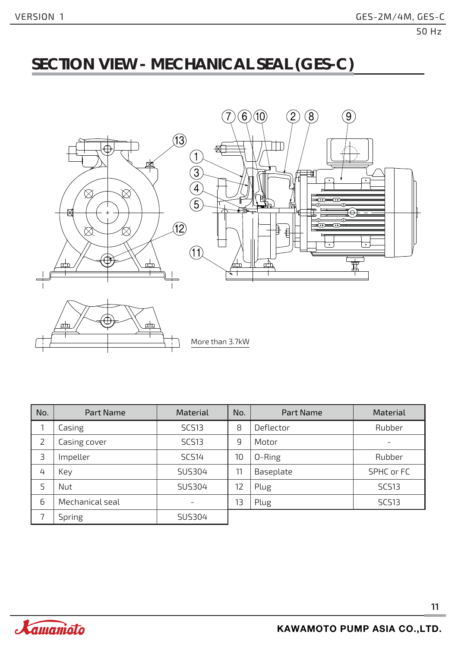### **SECTION VIEW - MECHANICAL SEAL (GES-C)**



| No.            | Part Name       | <b>Material</b> | No. | Part Name | Material                 |
|----------------|-----------------|-----------------|-----|-----------|--------------------------|
|                | Casing          | <b>SCS13</b>    | 8   | Deflector | Rubber                   |
| $\overline{2}$ | Casing cover    | <b>SCS13</b>    | 9   | Motor     | $\overline{\phantom{0}}$ |
| 3              | Impeller        | <b>SCS14</b>    | 10  | 0-Ring    | Rubber                   |
| 4              | Key             | SUS304          | 11  | Baseplate | SPHC or FC               |
| 5              | Nut             | SUS304          | 12  | Plug      | <b>SCS13</b>             |
| 6              | Mechanical seal |                 | 13  | Plug      | <b>SCS13</b>             |
| 7              | <b>Spring</b>   | SUS304          |     |           |                          |

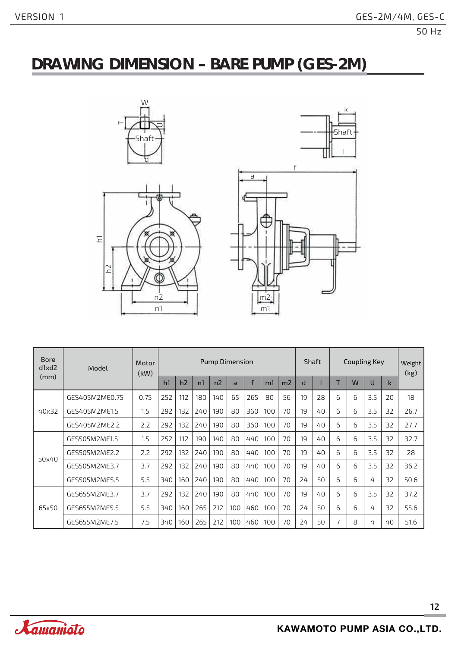### **DRAWING DIMENSION – BARE PUMP (GES-2M)**





| <b>Bore</b><br>d1xd2 | Model          | Motor<br>(kW) |     |     |     | <b>Pump Dimension</b> |                |     |     |                | Shaft |    | <b>Coupling Key</b> |            |     |    | Weight<br>(kg) |
|----------------------|----------------|---------------|-----|-----|-----|-----------------------|----------------|-----|-----|----------------|-------|----|---------------------|------------|-----|----|----------------|
| (mm)                 |                |               | h1  | h2  | n1  | n <sub>2</sub>        | $\overline{a}$ | f   | m1  | m <sub>2</sub> | d     |    | T                   | W          | U   | k  |                |
|                      | GES405M2ME0.75 | 0.75          | 252 | 112 | 180 | 140                   | 65             | 265 | 80  | 56             | 19    | 28 | 6                   | 6          | 3.5 | 20 | 18             |
| 40×32                | GES405M2ME1.5  | 1.5           | 292 | 132 | 240 | 190                   | 80             | 360 | 100 | 70             | 19    | 40 | 6                   | 6          | 3.5 | 32 | 26.7           |
|                      | GES405M2ME2.2  | 2.2           | 292 | 132 | 240 | 190                   | 80             | 360 | 100 | 70             | 19    | 40 | 6                   | 6          | 3.5 | 32 | 27.7           |
|                      | GES505M2ME1.5  | 1.5           | 252 | 112 | 190 | 140                   | 80             | 440 | 100 | 70             | 19    | 40 | 6                   | 6          | 3.5 | 32 | 32.7           |
| 50×40                | GES505M2ME2.2  | 2.2           | 292 | 132 | 240 | 190                   | 80             | 440 | 100 | 70             | 19    | 40 | 6                   | $\sqrt{2}$ | 3.5 | 32 | 28             |
|                      | GES505M2ME3.7  | 3.7           | 292 | 132 | 240 | 190                   | 80             | 440 | 100 | 70             | 19    | 40 | 6                   | $\sqrt{2}$ | 3.5 | 32 | 36.2           |
|                      | GES505M2ME5.5  | 5.5           | 340 | 160 | 240 | 190                   | 80             | 440 | 100 | 70             | 24    | 50 | 6                   | 6          | 4   | 32 | 50.6           |
|                      | GES655M2ME3.7  | 3.7           | 292 | 132 | 240 | 190                   | 80             | 440 | 100 | 70             | 19    | 40 | 6                   | 6          | 3.5 | 32 | 37.2           |
| 65x50                | GES655M2ME5.5  | 5.5           | 340 | 160 | 265 | 212                   | 100            | 460 | 100 | 70             | 24    | 50 | 6                   | $\sqrt{2}$ | 4   | 32 | 55.6           |
|                      | GES655M2ME7.5  | 7.5           | 340 | 160 | 265 | 212                   | 100            | 460 | 100 | 70             | 24    | 50 | 7                   | 8          | 4   | 40 | 51.6           |

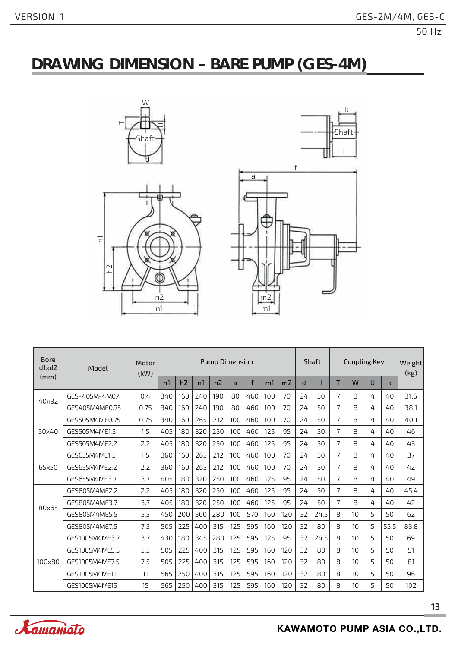# **DRAWING DIMENSION – BARE PUMP (GES-4M)**





| <b>Bore</b><br>d1xd2 | Model          | Motor<br>(kW) |     |     |     | <b>Pump Dimension</b> |                |     |     |                |    | Shaft |                | <b>Coupling Key</b> |   |      | Weight<br>(kg) |
|----------------------|----------------|---------------|-----|-----|-----|-----------------------|----------------|-----|-----|----------------|----|-------|----------------|---------------------|---|------|----------------|
| (mm)                 |                |               | h1  | h2  | n1  | n2                    | $\overline{a}$ | f   | m1  | m <sub>2</sub> | d  |       | т              | W                   | U | k    |                |
| 40×32                | GES-405M-4M0.4 | 0.4           | 340 | 160 | 240 | 190                   | 80             | 460 | 100 | 70             | 24 | 50    | 7              | 8                   | 4 | 40   | 31.6           |
|                      | GES405M4ME0.75 | 0.75          | 340 | 160 | 240 | 190                   | 80             | 460 | 100 | 70             | 24 | 50    | $\overline{7}$ | 8                   | 4 | 40   | 38.1           |
|                      | GES505M4ME0.75 | 0.75          | 340 | 160 | 265 | 212                   | 100            | 460 | 100 | 70             | 24 | 50    | $\overline{7}$ | 8                   | 4 | 40   | 40.1           |
| 50×40                | GES505M4ME1.5  | 1.5           | 405 | 180 | 320 | 250                   | 100            | 460 | 125 | 95             | 24 | 50    | 7              | 8                   | 4 | 40   | 46             |
|                      | GES505M4ME2.2  | 2.2           | 405 | 180 | 320 | 250                   | 100            | 460 | 125 | 95             | 24 | 50    | $\overline{7}$ | 8                   | 4 | 40   | 43             |
|                      | GES655M4ME1.5  | 1.5           | 360 | 160 | 265 | 212                   | 100            | 460 | 100 | 70             | 24 | 50    | $\overline{7}$ | 8                   | 4 | 40   | 37             |
| 65x50                | GES655M4ME2.2  | 2.2           | 360 | 160 | 265 | 212                   | 100            | 460 | 100 | 70             | 24 | 50    | 7              | 8                   | 4 | 40   | 42             |
|                      | GES655M4ME3.7  | 3.7           | 405 | 180 | 320 | 250                   | 100            | 460 | 125 | 95             | 24 | 50    | $\overline{7}$ | 8                   | 4 | 40   | 49             |
|                      | GES805M4ME2.2  | 2.2           | 405 | 180 | 320 | 250                   | 100            | 460 | 125 | 95             | 24 | 50    | $\overline{7}$ | 8                   | 4 | 40   | 45.4           |
| 80×65                | GES805M4ME3.7  | 3.7           | 405 | 180 | 320 | 250                   | 100            | 460 | 125 | 95             | 24 | 50    | $\overline{7}$ | 8                   | 4 | 40   | 42             |
|                      | GES805M4ME5.5  | 5.5           | 450 | 200 | 360 | 280                   | 100            | 570 | 160 | 120            | 32 | 24.5  | 8              | 10                  | 5 | 50   | 62             |
|                      | GES805M4ME7.5  | 7.5           | 505 | 225 | 400 | 315                   | 125            | 595 | 160 | 120            | 32 | 80    | 8              | 10                  | 5 | 55.5 | 83.8           |
|                      | GES1005M4ME3.7 | 3.7           | 430 | 180 | 345 | 280                   | 125            | 595 | 125 | 95             | 32 | 24.5  | 8              | 10                  | 5 | 50   | 69             |
|                      | GES1005M4ME5.5 | 5.5           | 505 | 225 | 400 | 315                   | 125            | 595 | 160 | 120            | 32 | 80    | 8              | 10                  | 5 | 50   | 51             |
| 100×80               | GES1005M4ME7.5 | 7.5           | 505 | 225 | 400 | 315                   | 125            | 595 | 160 | 120            | 32 | 80    | 8              | 10                  | 5 | 50   | 81             |
|                      | GES1005M4ME11  | 11            | 565 | 250 | 400 | 315                   | 125            | 595 | 160 | 120            | 32 | 80    | 8              | 10                  | 5 | 50   | 96             |
|                      | GES1005M4ME15  | 15            | 565 | 250 | 400 | 315                   | 125            | 595 | 160 | 120            | 32 | 80    | 8              | 10                  | 5 | 50   | 102            |

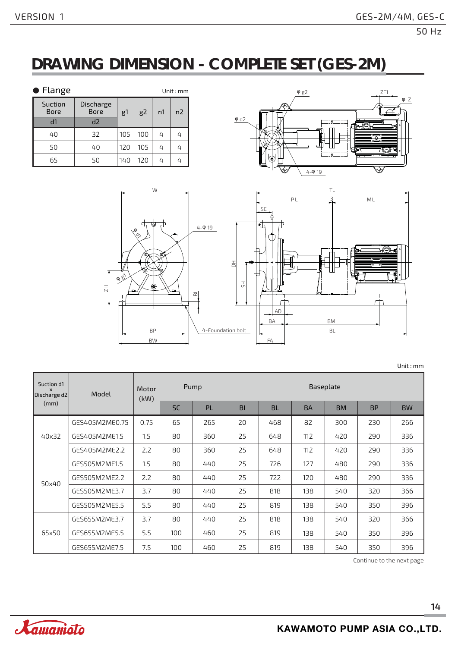### **DRAWING DIMENSION - COMPLETE SET (GES-2M)**

| $\bullet$ Flange       |                          |     |                |    | Unit: mm       |
|------------------------|--------------------------|-----|----------------|----|----------------|
| Suction<br><b>Bore</b> | Discharge<br><b>Bore</b> | g1  | g <sub>2</sub> | n1 | n <sub>2</sub> |
| d1                     | d2                       |     |                |    |                |
| 40                     | 32                       | 105 | 100            | ᠘  | 4              |
| 50                     | 40                       | 120 | 105            | 4  | 4              |
| 65                     | 50                       | 140 | 120            |    | 4              |





Unit : mm

| Suction d1<br>$\mathsf{x}$<br>Discharge d2 | Model          | <b>Motor</b><br>(kW) |           | Pump | Baseplate |           |           |           |           |           |  |  |  |
|--------------------------------------------|----------------|----------------------|-----------|------|-----------|-----------|-----------|-----------|-----------|-----------|--|--|--|
| (mm)                                       |                |                      | <b>SC</b> | PL   | BI        | <b>BL</b> | <b>BA</b> | <b>BM</b> | <b>BP</b> | <b>BW</b> |  |  |  |
|                                            | GES405M2ME0.75 | 0.75                 | 65        | 265  | 20        | 468       | 82        | 300       | 230       | 266       |  |  |  |
| 40×32                                      | GES405M2ME1.5  | 1.5                  | 80        | 360  | 25        | 648       | 112       | 420       | 290       | 336       |  |  |  |
|                                            | GES405M2ME2.2  | 2.2                  | 80        | 360  | 25        | 648       | 112       | 420       | 290       | 336       |  |  |  |
|                                            | GES505M2ME1.5  | 1.5                  | 80        | 440  | 25        | 726       | 127       | 480       | 290       | 336       |  |  |  |
| 50x40                                      | GES505M2ME2.2  | 2.2                  | 80        | 440  | 25        | 722       | 120       | 480       | 290       | 336       |  |  |  |
|                                            | GES505M2ME3.7  | 3.7                  | 80        | 440  | 25        | 818       | 138       | 540       | 320       | 366       |  |  |  |
|                                            | GES505M2ME5.5  | 5.5                  | 80        | 440  | 25        | 819       | 138       | 540       | 350       | 396       |  |  |  |
|                                            | GES655M2ME3.7  | 3.7                  | 80        | 440  | 25        | 818       | 138       | 540       | 320       | 366       |  |  |  |
| 65x50                                      | GES655M2ME5.5  | 5.5                  | 100       | 460  | 25        | 819       | 138       | 540       | 350       | 396       |  |  |  |
|                                            | GES655M2ME7.5  | 7.5                  | 100       | 460  | 25        | 819       | 138       | 540       | 350       | 396       |  |  |  |

Continue to the next page

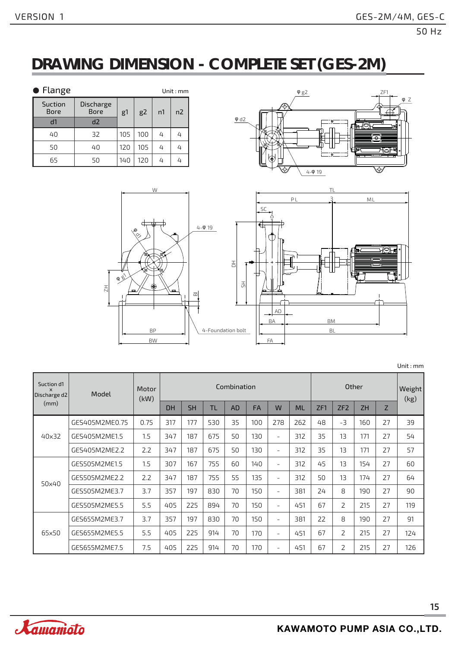### **DRAWING DIMENSION - COMPLETE SET (GES-2M)**

| ● Flange               |                          |     |                |    | Unit: $mm$ |
|------------------------|--------------------------|-----|----------------|----|------------|
| Suction<br><b>Bore</b> | Discharge<br><b>Bore</b> | g1  | g <sub>2</sub> | n1 | n2         |
| d1                     | d2                       |     |                |    |            |
| 40                     | 32                       | 105 | 100            | 4  | 4          |
| 50                     | 40                       | 120 | 105            | 4  | 4          |
| 65                     | 50                       | 140 | 120            |    | 4          |





Unit : mm

| Suction d1<br>$\mathsf{x}$<br>Discharge d2 | Model          | Motor<br>(kW) |           |           |           | Combination |           |                          |           |     |      | Other     |    | Weight<br>(kg) |
|--------------------------------------------|----------------|---------------|-----------|-----------|-----------|-------------|-----------|--------------------------|-----------|-----|------|-----------|----|----------------|
| (mm)                                       |                |               | <b>DH</b> | <b>SH</b> | <b>TL</b> | <b>AD</b>   | <b>FA</b> | W                        | <b>ML</b> | ZF1 | ZF2  | <b>ZH</b> | Z  |                |
|                                            | GES405M2ME0.75 | 0.75          | 317       | 177       | 530       | 35          | 100       | 278                      | 262       | 48  | $-3$ | 160       | 27 | 39             |
| 40×32                                      | GES405M2ME1.5  | 1.5           | 347       | 187       | 675       | 50          | 130       | $\overline{\phantom{a}}$ | 312       | 35  | 13   | 171       | 27 | 54             |
|                                            | GES405M2ME2.2  | 2.2           | 347       | 187       | 675       | 50          | 130       | $\overline{\phantom{a}}$ | 312       | 35  | 13   | 171       | 27 | 57             |
|                                            | GES505M2ME1.5  | 1.5           | 307       | 167       | 755       | 60          | 140       | $\overline{\phantom{a}}$ | 312       | 45  | 13   | 154       | 27 | 60             |
| 50×40                                      | GES505M2ME2.2  | 2.2           | 347       | 187       | 755       | 55          | 135       | $\overline{\phantom{a}}$ | 312       | 50  | 13   | 174       | 27 | 64             |
|                                            | GES505M2ME3.7  | 3.7           | 357       | 197       | 830       | 70          | 150       | $\overline{\phantom{0}}$ | 381       | 24  | 8    | 190       | 27 | 90             |
|                                            | GES505M2ME5.5  | 5.5           | 405       | 225       | 894       | 70          | 150       | $\overline{\phantom{0}}$ | 451       | 67  | 2    | 215       | 27 | 119            |
|                                            | GES655M2ME3.7  | 3.7           | 357       | 197       | 830       | 70          | 150       | $\overline{\phantom{a}}$ | 381       | 22  | 8    | 190       | 27 | 91             |
| 65x50                                      | GES655M2ME5.5  | 5.5           | 405       | 225       | 914       | 70          | 170       | $\overline{\phantom{a}}$ | 451       | 67  | 2    | 215       | 27 | 124            |
|                                            | GES655M2ME7.5  | 7.5           | 405       | 225       | 914       | 70          | 170       | $\overline{\phantom{a}}$ | 451       | 67  | 2    | 215       | 27 | 126            |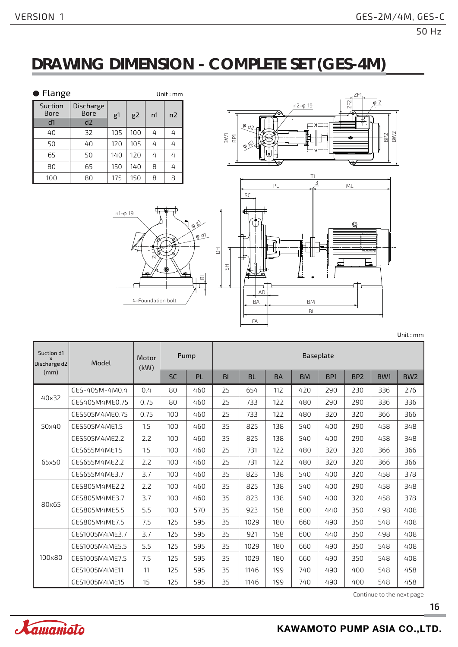# **DRAWING DIMENSION - COMPLETE SET (GES-4M)**

| • Flange               |                          |                |     |    | Unit: mm |
|------------------------|--------------------------|----------------|-----|----|----------|
| Suction<br><b>Bore</b> | Discharge<br><b>Bore</b> | g <sub>1</sub> | g2  | n1 | n2       |
| d1                     | d2                       |                |     |    |          |
| 40                     | 32                       | 105            | 100 | 4  | 4        |
| 50                     | 40                       | 120            | 105 | 4  | 4        |
| 65                     | 50                       | 140            | 120 | 4  | 4        |
| 80                     | 65                       | 150            | 140 | 8  | 4        |
| 100                    | 80                       | 175            | 150 | 8  | 8        |







Unit : mm

| Suction d1<br>$\times$<br>Discharge d2 | Model          | <b>Motor</b><br>(kW) |           | Pump      | Baseplate      |           |           |           |                 |                 |                 |                 |  |  |
|----------------------------------------|----------------|----------------------|-----------|-----------|----------------|-----------|-----------|-----------|-----------------|-----------------|-----------------|-----------------|--|--|
| (mm)                                   |                |                      | <b>SC</b> | <b>PL</b> | B <sub>1</sub> | <b>BL</b> | <b>BA</b> | <b>BM</b> | BP <sub>1</sub> | BP <sub>2</sub> | BW <sub>1</sub> | BW <sub>2</sub> |  |  |
|                                        | GES-405M-4M0.4 | 0.4                  | 80        | 460       | 25             | 654       | 112       | 420       | 290             | 230             | 336             | 276             |  |  |
| 40x32                                  | GES405M4ME0.75 | 0.75                 | 80        | 460       | 25             | 733       | 122       | 480       | 290             | 290             | 336             | 336             |  |  |
|                                        | GES505M4ME0.75 | 0.75                 | 100       | 460       | 25             | 733       | 122       | 480       | 320             | 320             | 366             | 366             |  |  |
| 50×40                                  | GES505M4ME1.5  | 1.5                  | 100       | 460       | 35             | 825       | 138       | 540       | 400             | 290             | 458             | 348             |  |  |
|                                        | GES505M4ME2.2  | 2.2                  | 100       | 460       | 35             | 825       | 138       | 540       | 400             | 290             | 458             | 348             |  |  |
|                                        | GES655M4ME1.5  | 1.5                  | 100       | 460       | 25             | 731       | 122       | 480       | 320             | 320             | 366             | 366             |  |  |
| 65x50                                  | GES655M4ME2.2  | 2.2                  | 100       | 460       | 25             | 731       | 122       | 480       | 320             | 320             | 366             | 366             |  |  |
|                                        | GES655M4ME3.7  | 3.7                  | 100       | 460       | 35             | 823       | 138       | 540       | 400             | 320             | 458             | 378             |  |  |
|                                        | GES805M4ME2.2  | 2.2                  | 100       | 460       | 35             | 825       | 138       | 540       | 400             | 290             | 458             | 348             |  |  |
| 80×65                                  | GES805M4ME3.7  | 3.7                  | 100       | 460       | 35             | 823       | 138       | 540       | 400             | 320             | 458             | 378             |  |  |
|                                        | GES805M4ME5.5  | 5.5                  | 100       | 570       | 35             | 923       | 158       | 600       | 440             | 350             | 498             | 408             |  |  |
|                                        | GES805M4ME7.5  | 7.5                  | 125       | 595       | 35             | 1029      | 180       | 660       | 490             | 350             | 548             | 408             |  |  |
|                                        | GES1005M4ME3.7 | 3.7                  | 125       | 595       | 35             | 921       | 158       | 600       | 440             | 350             | 498             | 408             |  |  |
|                                        | GES1005M4ME5.5 | 5.5                  | 125       | 595       | 35             | 1029      | 180       | 660       | 490             | 350             | 548             | 408             |  |  |
| 100×80                                 | GES1005M4ME7.5 | 7.5                  | 125       | 595       | 35             | 1029      | 180       | 660       | 490             | 350             | 548             | 408             |  |  |
|                                        | GES1005M4ME11  | 11                   | 125       | 595       | 35             | 1146      | 199       | 740       | 490             | 400             | 548             | 458             |  |  |
|                                        | GES1005M4ME15  | 15                   | 125       | 595       | 35             | 1146      | 199       | 740       | 490             | 400             | 548             | 458             |  |  |

Continue to the next page

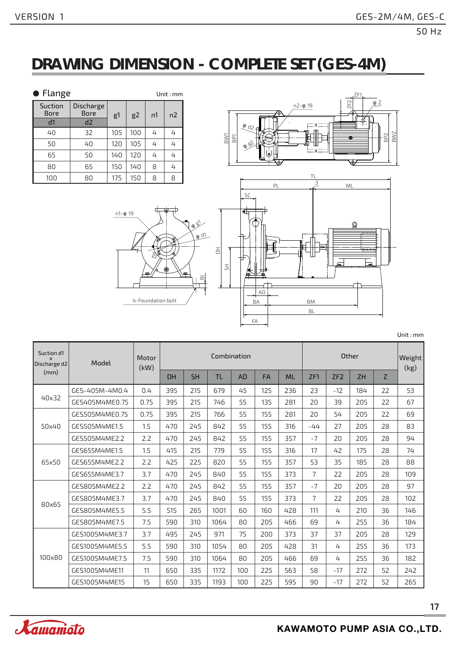### **DRAWING DIMENSION - COMPLETE SET (GES-4M)**

| • Flange               |                                 |     |     |    | Unit: mm |
|------------------------|---------------------------------|-----|-----|----|----------|
| Suction<br><b>Bore</b> | <b>Discharge</b><br><b>Bore</b> | g1  | g2  | n1 | n2       |
| d1                     | d2                              |     |     |    |          |
| 40                     | 32                              | 105 | 100 | 4  | 4        |
| 50                     | 40                              | 120 | 105 | 4  | 4        |
| 65                     | 50                              | 140 | 120 | 4  | 4        |
| 80                     | 65                              | 150 | 140 | 8  | 4        |
| 100                    | 80                              | 175 | 150 | 8  | 8        |







| Unit: $mm$ |  |  |  |
|------------|--|--|--|
|            |  |  |  |

| Suction d1<br>$\times$<br>Discharge d2 | Model          | Motor<br>(kW) | Combination |           |           |           |           |           |                | Other           |           |    |      |  |
|----------------------------------------|----------------|---------------|-------------|-----------|-----------|-----------|-----------|-----------|----------------|-----------------|-----------|----|------|--|
| (mm)                                   |                |               | <b>DH</b>   | <b>SH</b> | <b>TL</b> | <b>AD</b> | <b>FA</b> | <b>ML</b> | ZF1            | ZF <sub>2</sub> | <b>ZH</b> | Z  | (kg) |  |
|                                        | GES-405M-4M0.4 | 0.4           | 395         | 215       | 679       | 45        | 125       | 236       | 23             | $-12$           | 184       | 22 | 53   |  |
| 40x32                                  | GES405M4ME0.75 | 0.75          | 395         | 215       | 746       | 55        | 135       | 281       | 20             | 39              | 205       | 22 | 67   |  |
|                                        | GES505M4ME0.75 | 0.75          | 395         | 215       | 766       | 55        | 155       | 281       | 20             | 54              | 205       | 22 | 69   |  |
| 50x40                                  | GES505M4ME1.5  | 1.5           | 470         | 245       | 842       | 55        | 155       | 316       | $-44$          | 27              | 205       | 28 | 83   |  |
|                                        | GES505M4ME2.2  | 2.2           | 470         | 245       | 842       | 55        | 155       | 357       | $-7$           | 20              | 205       | 28 | 94   |  |
|                                        | GES655M4ME1.5  | 1.5           | 415         | 215       | 779       | 55        | 155       | 316       | 17             | 42              | 175       | 28 | 74   |  |
| 65x50                                  | GES655M4ME2.2  | 2.2           | 425         | 225       | 820       | 55        | 155       | 357       | 53             | 35              | 185       | 28 | 88   |  |
|                                        | GES655M4ME3.7  | 3.7           | 470         | 245       | 840       | 55        | 155       | 373       | $\overline{7}$ | 22              | 205       | 28 | 109  |  |
|                                        | GES805M4ME2.2  | 2.2           | 470         | 245       | 842       | 55        | 155       | 357       | $-7$           | 20              | 205       | 28 | 97   |  |
|                                        | GES805M4ME3.7  | 3.7           | 470         | 245       | 840       | 55        | 155       | 373       | $\overline{7}$ | 22              | 205       | 28 | 102  |  |
| 80×65                                  | GES805M4ME5.5  | 5.5           | 515         | 265       | 1001      | 60        | 160       | 428       | 111            | 4               | 210       | 36 | 146  |  |
|                                        | GES805M4ME7.5  | 7.5           | 590         | 310       | 1064      | 80        | 205       | 466       | 69             | 4               | 255       | 36 | 184  |  |
|                                        | GES1005M4ME3.7 | 3.7           | 495         | 245       | 971       | 75        | 200       | 373       | 37             | 37              | 205       | 28 | 129  |  |
|                                        | GES1005M4ME5.5 | 5.5           | 590         | 310       | 1054      | 80        | 205       | 428       | 31             | 4               | 255       | 36 | 173  |  |
| 100×80                                 | GES1005M4ME7.5 | 7.5           | 590         | 310       | 1064      | 80        | 205       | 466       | 69             | 4               | 255       | 36 | 182  |  |
|                                        | GES1005M4ME11  | 11            | 650         | 335       | 1172      | 100       | 225       | 563       | 58             | $-17$           | 272       | 52 | 242  |  |
|                                        | GES1005M4ME15  | 15            | 650         | 335       | 1193      | 100       | 225       | 595       | 90             | $-17$           | 272       | 52 | 265  |  |

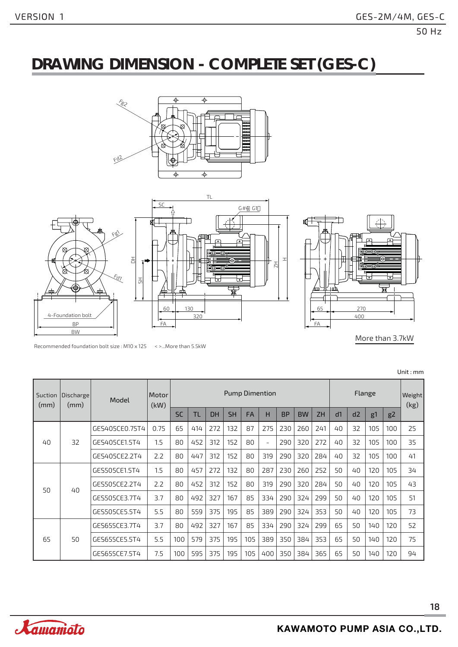### **DRAWING DIMENSION - COMPLETE SET (GES-C)**









More than 3.7kW

| Suction<br>(mm) | Discharge | <b>Pump Dimention</b><br>Motor<br>Model<br>(kW)<br>(mm) |      |           |     |           |           |           |     |           |           | Weight<br>(kg) |    |    |                |                |    |
|-----------------|-----------|---------------------------------------------------------|------|-----------|-----|-----------|-----------|-----------|-----|-----------|-----------|----------------|----|----|----------------|----------------|----|
|                 |           |                                                         |      | <b>SC</b> | ΤL  | <b>DH</b> | <b>SH</b> | <b>FA</b> | н   | <b>BP</b> | <b>BW</b> | <b>ZH</b>      | d1 | d2 | g <sup>1</sup> | g <sub>2</sub> |    |
|                 |           | GES405CE0.75T4                                          | 0.75 | 65        | 414 | 272       | 132       | 87        | 275 | 230       | 260       | 241            | 40 | 32 | 105            | 100            | 25 |
| 40              | 32        | GES405CE1.5T4                                           | 1.5  | 80        | 452 | 312       | 152       | 80        | ۰   | 290       | 320       | 272            | 40 | 32 | 105            | 100            | 35 |
|                 |           | GES405CE2.2T4                                           | 2.2  | 80        | 447 | 312       | 152       | 80        | 319 | 290       | 320       | 284            | 40 | 32 | 105            | 100            | 41 |
|                 |           | GES505CE1.5T4                                           | 1.5  | 80        | 457 | 272       | 132       | 80        | 287 | 230       | 260       | 252            | 50 | 40 | 120            | 105            | 34 |
| 50              | 40        | GES505CE2.2T4                                           | 2.2  | 80        | 452 | 312       | 152       | 80        | 319 | 290       | 320       | 284            | 50 | 40 | 120            | 105            | 43 |
|                 |           | GES505CE3.7T4                                           | 3.7  | 80        | 492 | 327       | 167       | 85        | 334 | 290       | 324       | 299            | 50 | 40 | 120            | 105            | 51 |
|                 |           | GES505CE5.5T4                                           | 5.5  | 80        | 559 | 375       | 195       | 85        | 389 | 290       | 324       | 353            | 50 | 40 | 120            | 105            | 73 |
|                 |           | GES655CE3.7T4                                           | 3.7  | 80        | 492 | 327       | 167       | 85        | 334 | 290       | 324       | 299            | 65 | 50 | 140            | 120            | 52 |
| 65              | 50        | GES655CE5.5T4                                           | 5.5  | 100       | 579 | 375       | 195       | 105       | 389 | 350       | 384       | 353            | 65 | 50 | 140            | 120            | 75 |
|                 |           | GES655CE7.5T4                                           | 7.5  | 100       | 595 | 375       | 195       | 105       | 400 | 350       | 384       | 365            | 65 | 50 | 140            | 120            | 94 |

Recommended foundation bolt size : M10 x 125 < >...More than 5.5kW

Unit : mm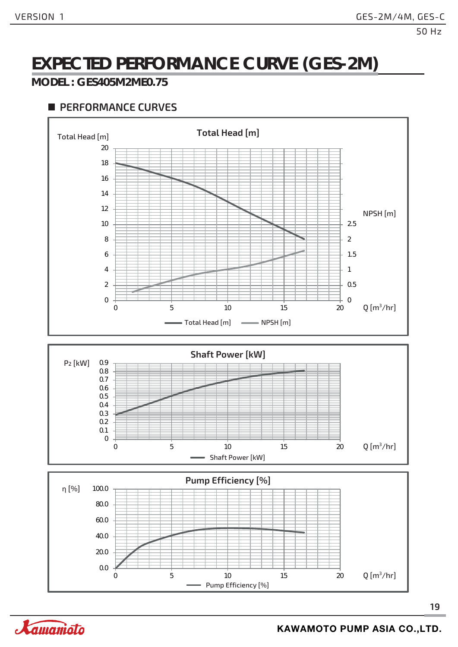# **EXPECTED PERFORMANCE CURVE (GES-2M)**

#### **MODEL : GES405M2ME0.75**



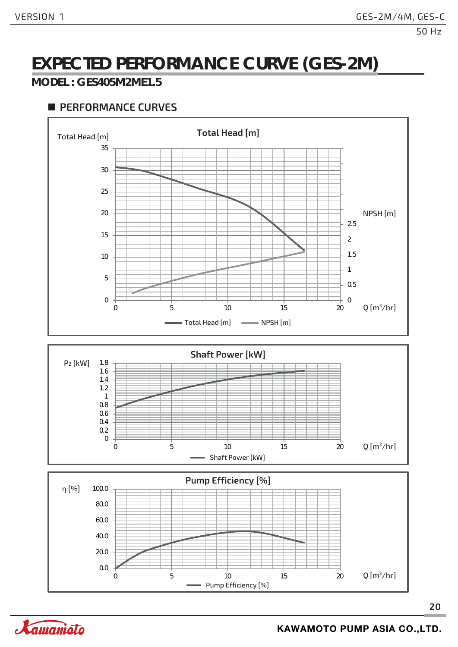# **EXPECTED PERFORMANCE CURVE (GES-2M)**

#### **MODEL : GES405M2ME1.5**



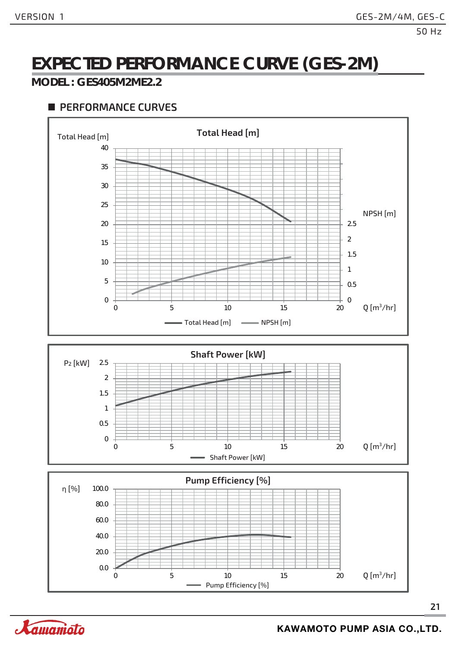# **EXPECTED PERFORMANCE CURVE (GES-2M)**

#### **MODEL : GES405M2ME2.2**



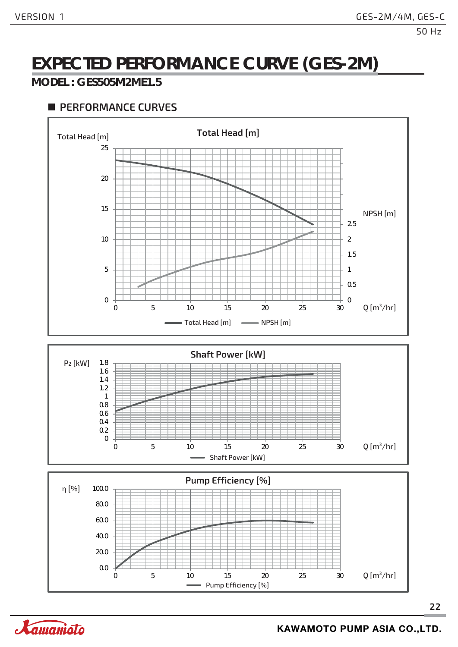### **EXPECTED PERFORMANCE CURVE (GES-2M)**

#### **MODEL : GES505M2ME1.5**

#### **PERFORMANCE CURVES**





Pump Efficiency [%]

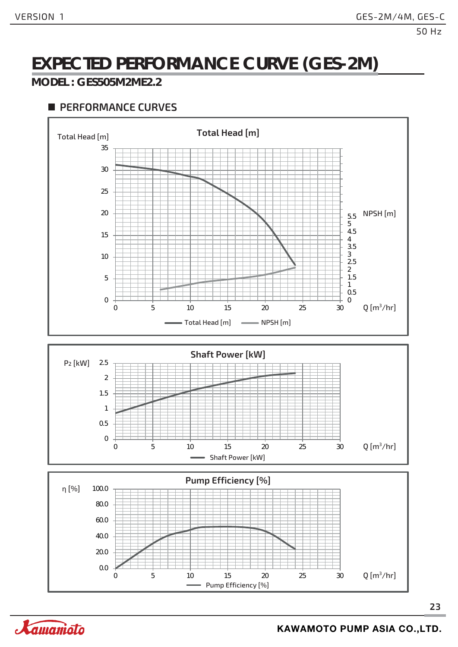# **EXPECTED PERFORMANCE CURVE (GES-2M)**

#### **MODEL : GES505M2ME2.2**









Xamanioto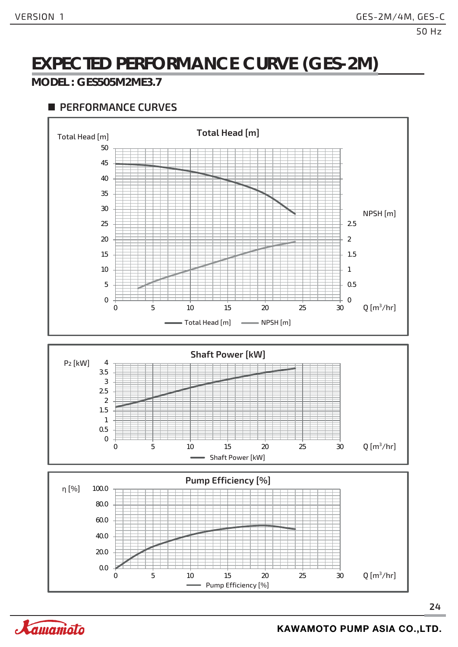# **EXPECTED PERFORMANCE CURVE (GES-2M)**

#### **MODEL : GES505M2ME3.7**

#### **PERFORMANCE CURVES**



Pump Efficiency [%]

0 5 10 15 20 25 30



0.0

 $Q[m^3/hr]$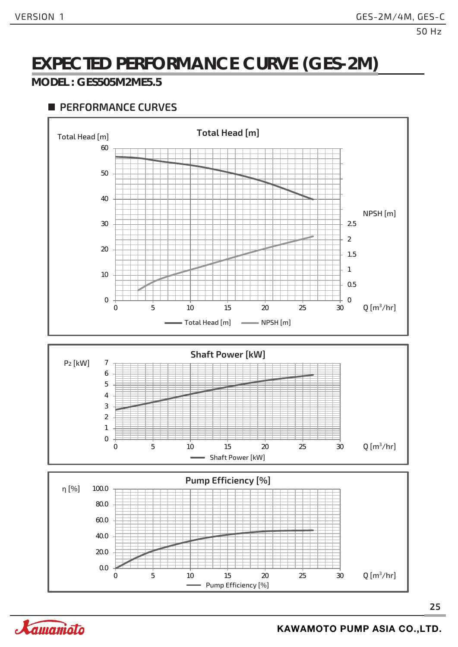# **EXPECTED PERFORMANCE CURVE (GES-2M)**

#### **MODEL : GES505M2ME5.5**

#### **PERFORMANCE CURVES**



Pump Efficiency [%]

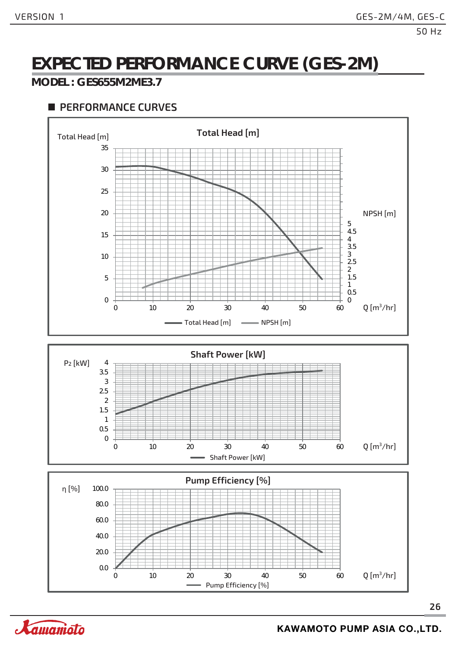# **EXPECTED PERFORMANCE CURVE (GES-2M)**

#### **MODEL : GES655M2ME3.7**









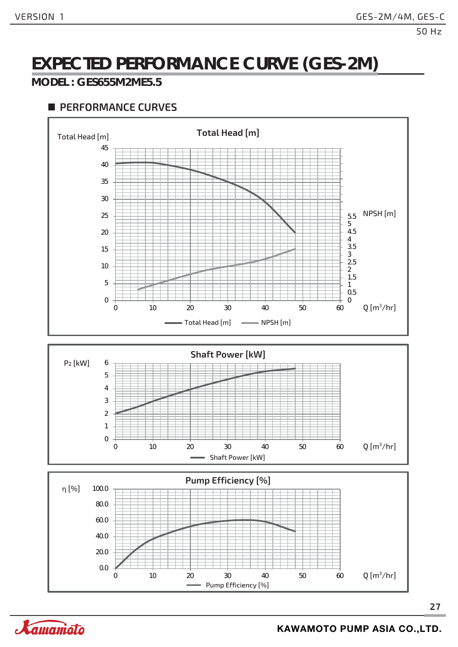# **EXPECTED PERFORMANCE CURVE (GES-2M)**

#### **MODEL : GES655M2ME5.5**





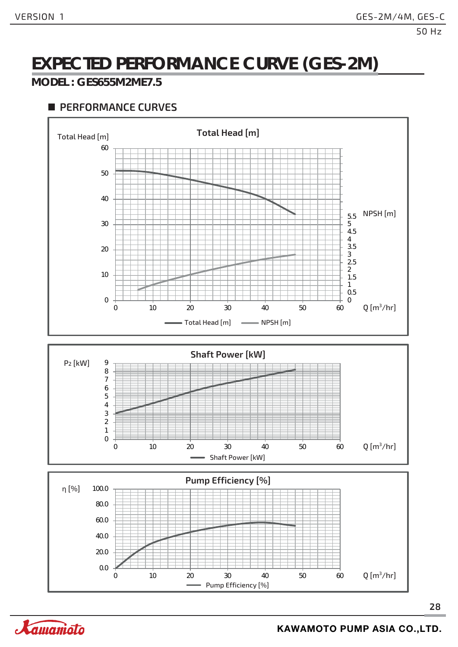# **EXPECTED PERFORMANCE CURVE (GES-2M)**

#### **MODEL : GES655M2ME7.5**





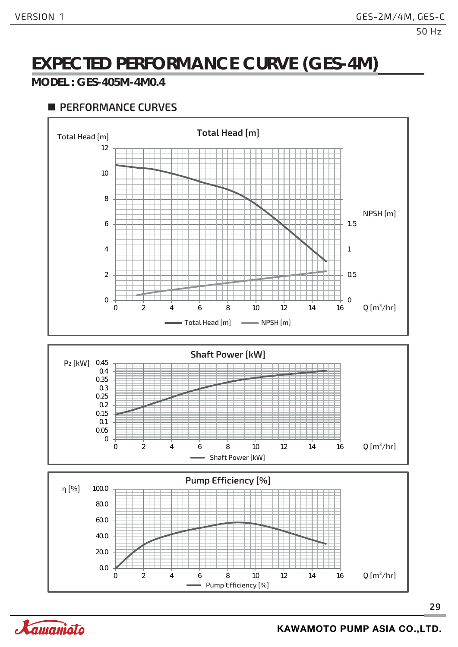# **EXPECTED PERFORMANCE CURVE (GES-4M)**

#### **MODEL : GES-405M-4M0.4**

#### **PERFORMANCE CURVES**





Xamanioto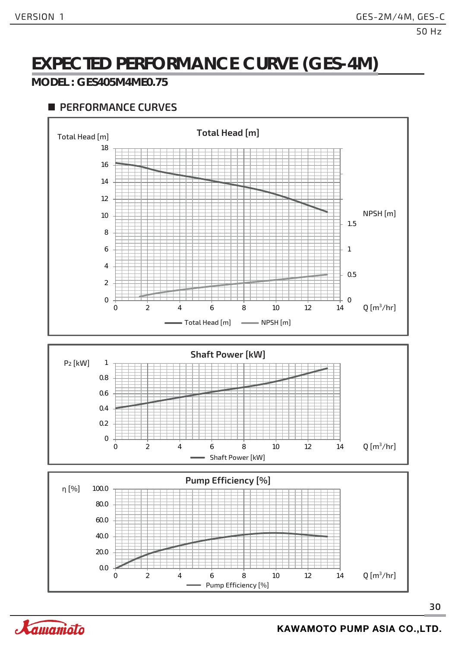# **EXPECTED PERFORMANCE CURVE (GES-4M)**

#### **MODEL : GES405M4ME0.75**

#### **PERFORMANCE CURVES**







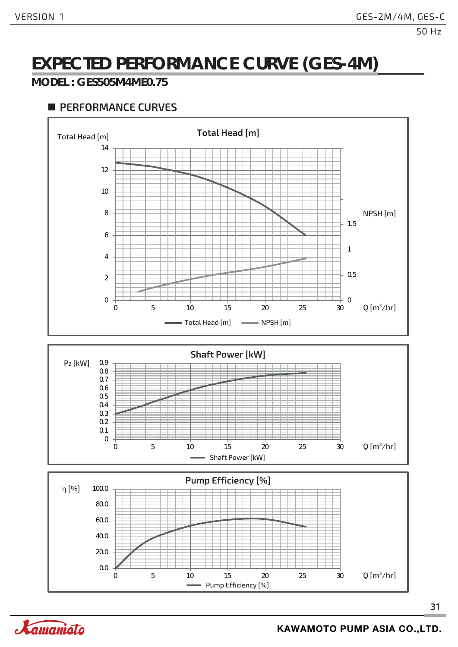# **EXPECTED PERFORMANCE CURVE (GES-4M)**

#### **MODEL : GES505M4ME0.75**

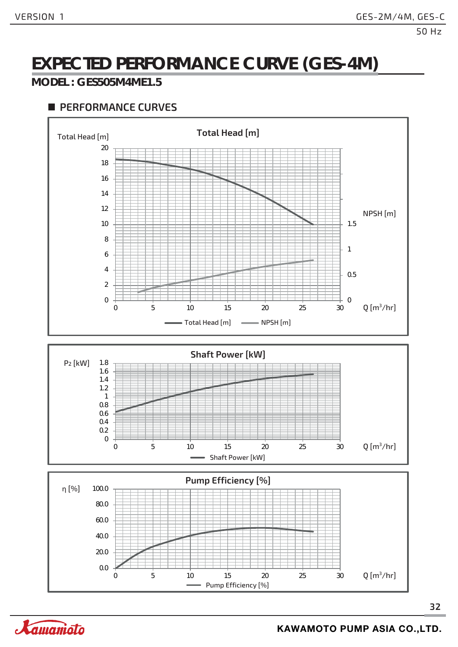# **EXPECTED PERFORMANCE CURVE (GES-4M)**

#### **MODEL : GES505M4ME1.5**



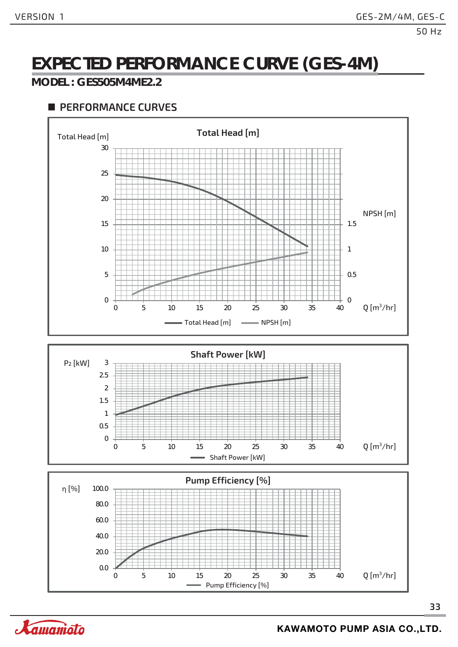# **EXPECTED PERFORMANCE CURVE (GES-4M)**

#### **MODEL : GES505M4ME2.2**

#### **PERFORMANCE CURVES**



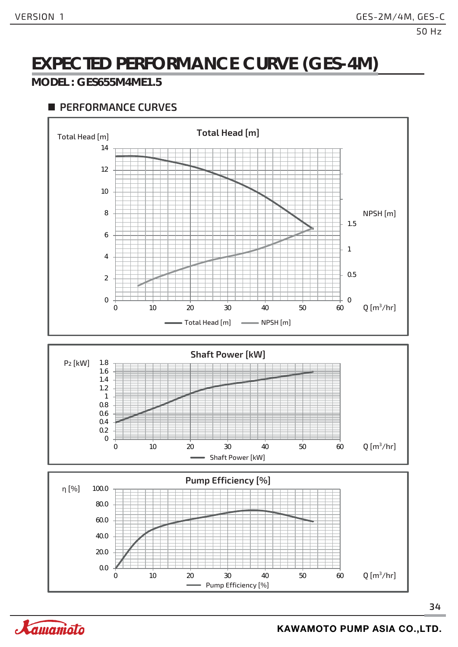# **EXPECTED PERFORMANCE CURVE (GES-4M)**

#### **MODEL : GES655M4ME1.5**



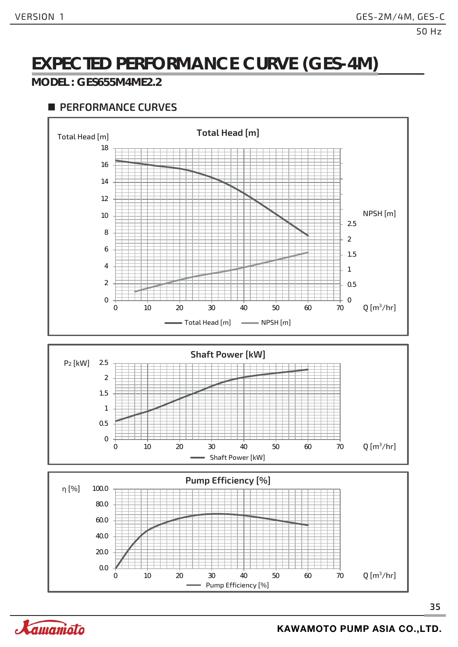# **EXPECTED PERFORMANCE CURVE (GES-4M)**

#### **MODEL : GES655M4ME2.2**









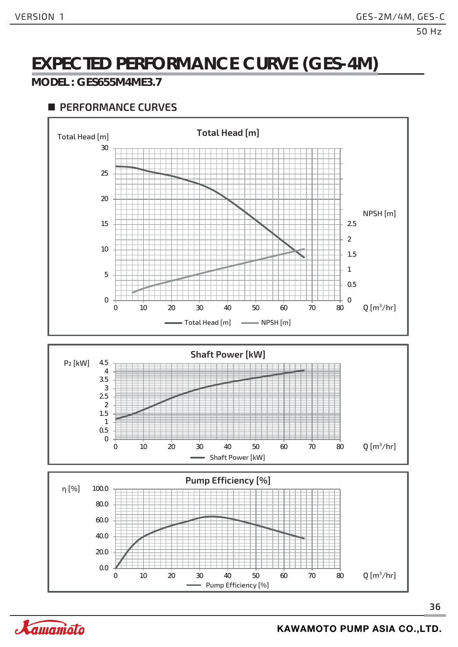# **EXPECTED PERFORMANCE CURVE (GES-4M)**

#### **MODEL : GES655M4ME3.7**

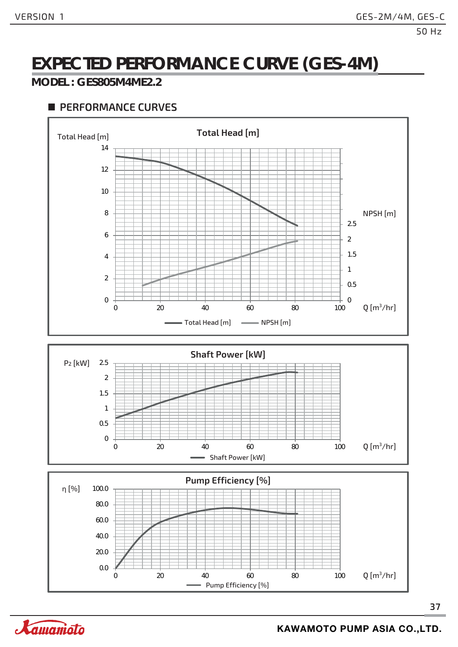# **EXPECTED PERFORMANCE CURVE (GES-4M)**

#### **MODEL : GES805M4ME2.2**

#### **PERFORMANCE CURVES**





0 20 40 60 80 100

**37**



 $Q[m^3/hr]$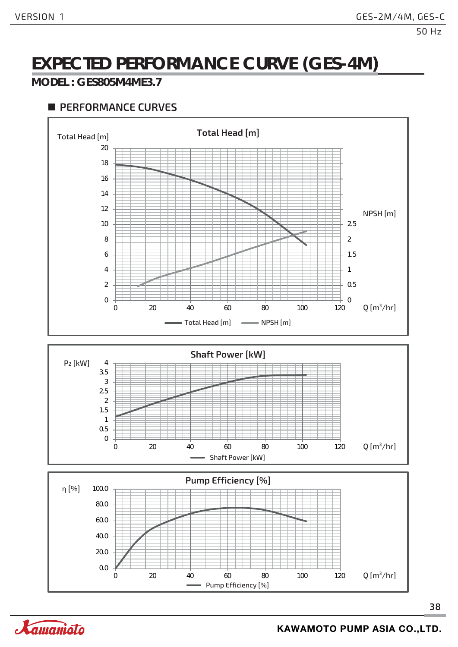# **EXPECTED PERFORMANCE CURVE (GES-4M)**

#### **MODEL : GES805M4ME3.7**

#### **PERFORMANCE CURVES**





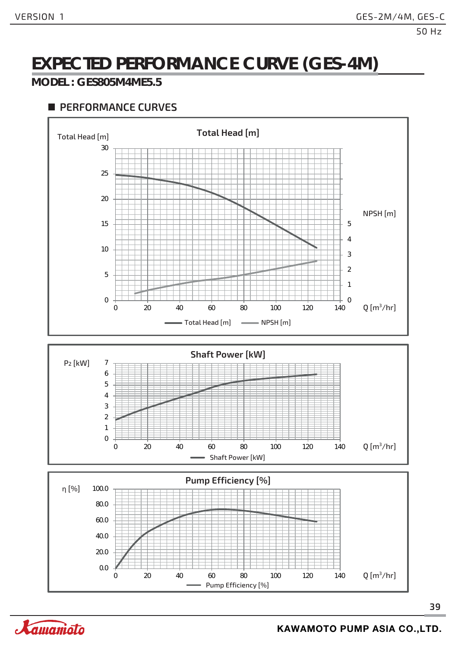# **EXPECTED PERFORMANCE CURVE (GES-4M)**

#### **MODEL : GES805M4ME5.5**



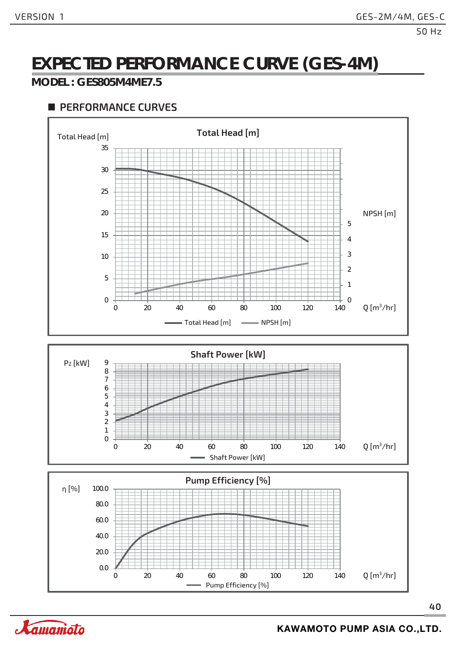# **EXPECTED PERFORMANCE CURVE (GES-4M)**

#### **MODEL : GES805M4ME7.5**

#### **PERFORMANCE CURVES**



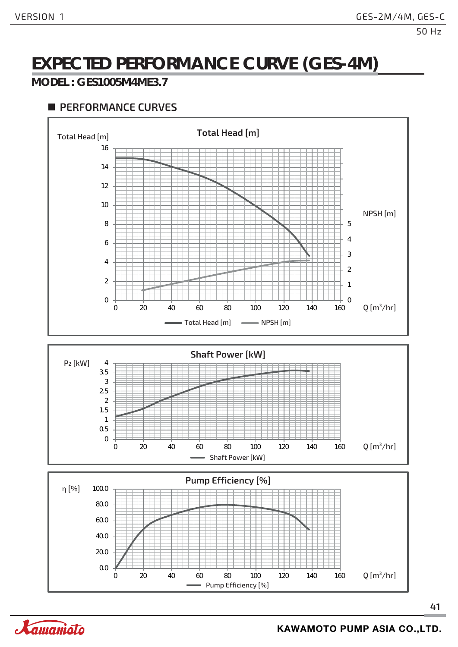# **EXPECTED PERFORMANCE CURVE (GES-4M)**

#### **MODEL : GES1005M4ME3.7**







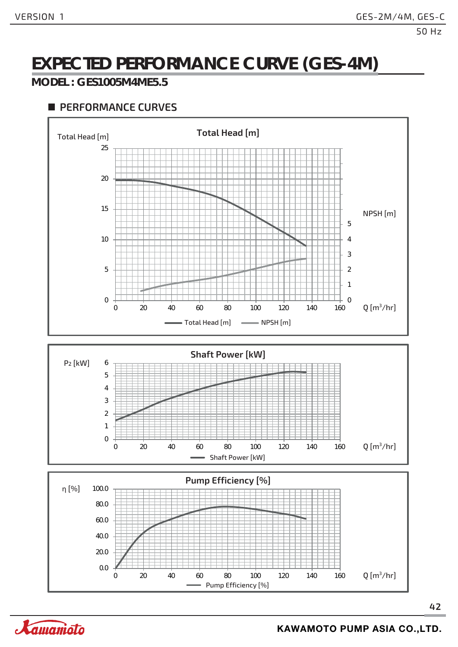# **EXPECTED PERFORMANCE CURVE (GES-4M)**

#### **MODEL : GES1005M4ME5.5**

#### **PERFORMANCE CURVES**

0





0 20 40 60 80 100 120 140 160

**42**



 $Q[m^3/hr]$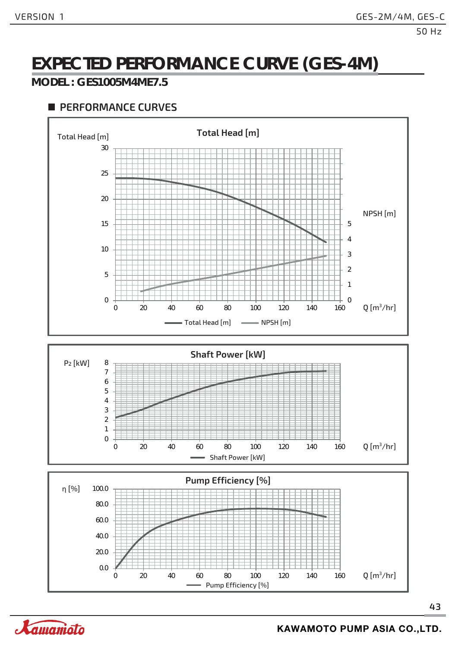# **EXPECTED PERFORMANCE CURVE (GES-4M)**

#### **MODEL : GES1005M4ME7.5**



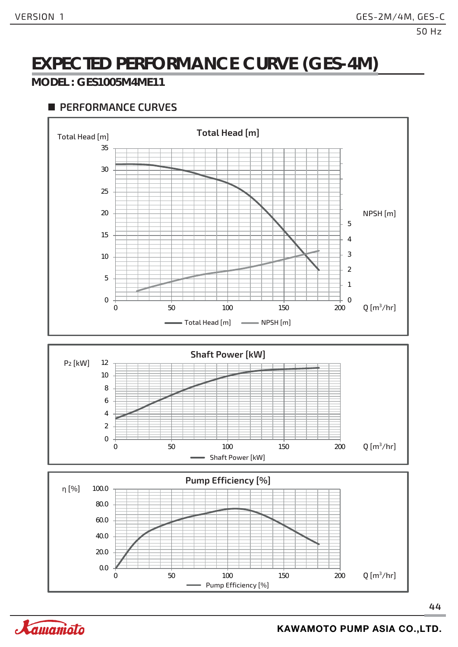# **EXPECTED PERFORMANCE CURVE (GES-4M)**

#### **MODEL : GES1005M4ME11**

#### **PERFORMANCE CURVES**



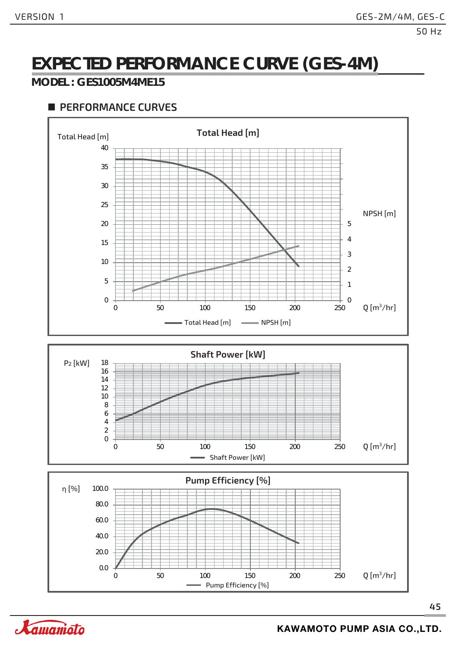# **EXPECTED PERFORMANCE CURVE (GES-4M)**

#### **MODEL : GES1005M4ME15**



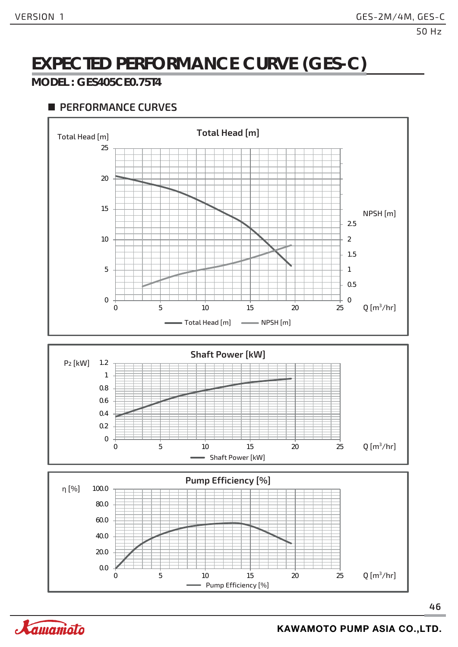# **EXPECTED PERFORMANCE CURVE (GES-C)**

#### **MODEL : GES405CE0.75T4**



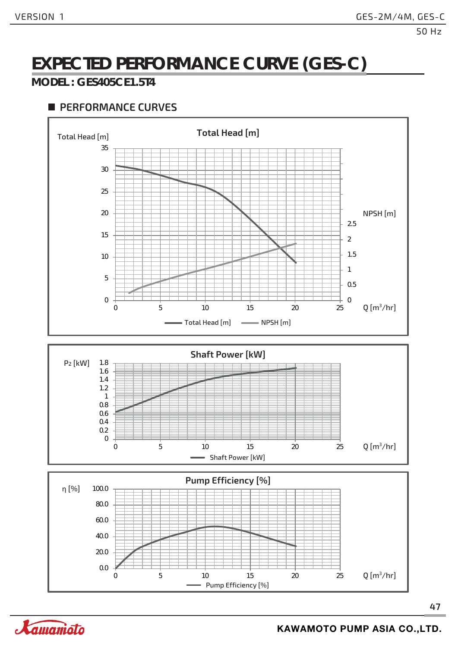# **EXPECTED PERFORMANCE CURVE (GES-C)**

#### **MODEL : GES405CE1.5T4**

#### **PERFORMANCE CURVES**



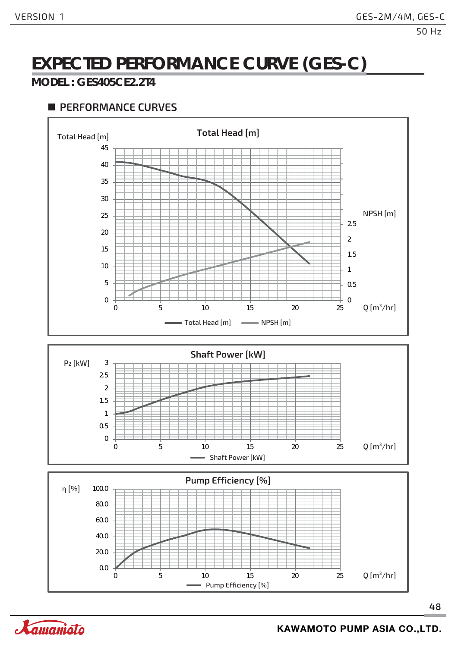# **EXPECTED PERFORMANCE CURVE (GES-C)**

#### **MODEL : GES405CE2.2T4**

#### **PERFORMANCE CURVES**



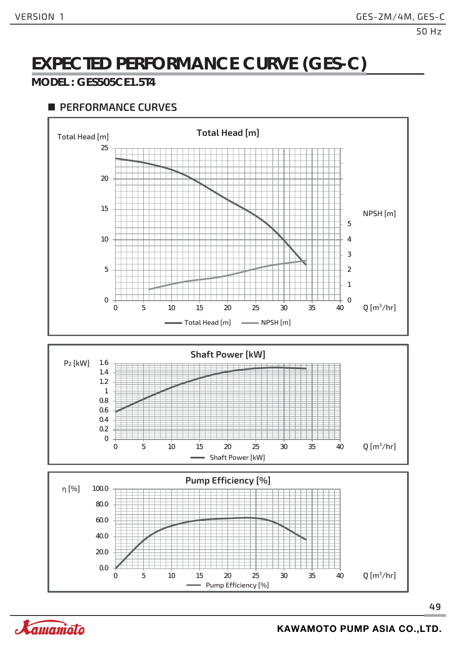# **EXPECTED PERFORMANCE CURVE (GES-C)**

#### **MODEL : GES505CE1.5T4**





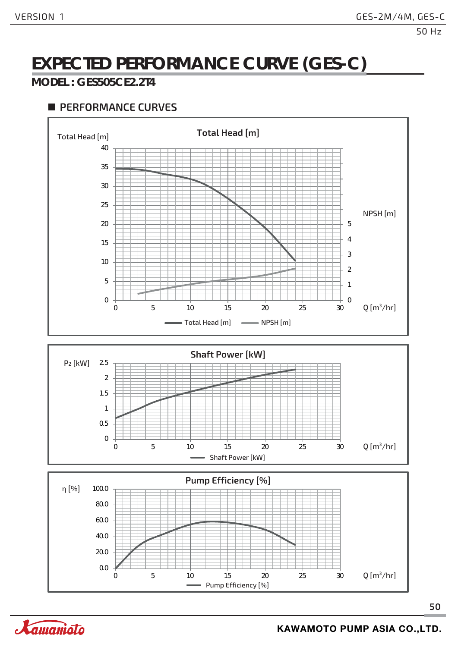# **EXPECTED PERFORMANCE CURVE (GES-C)**

#### **MODEL : GES505CE2.2T4**







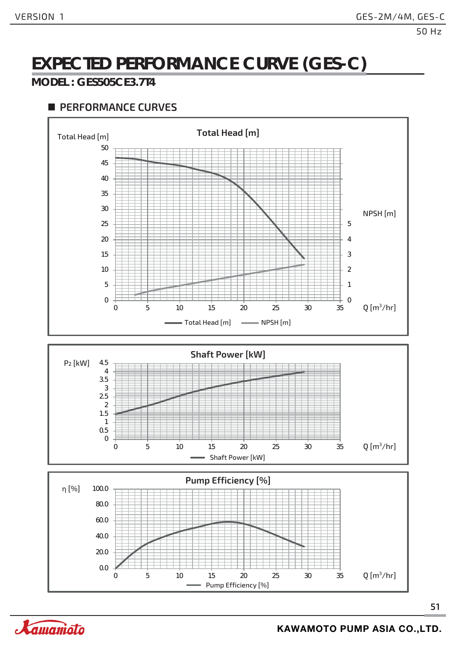# **EXPECTED PERFORMANCE CURVE (GES-C)**

#### **MODEL : GES505CE3.7T4**



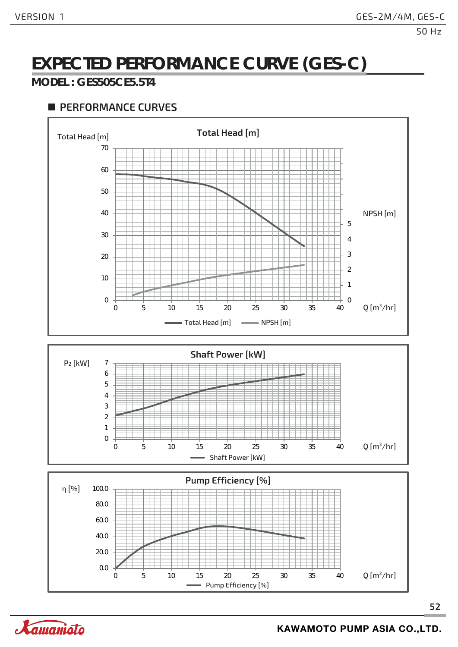# **EXPECTED PERFORMANCE CURVE (GES-C)**

#### **MODEL : GES505CE5.5T4**



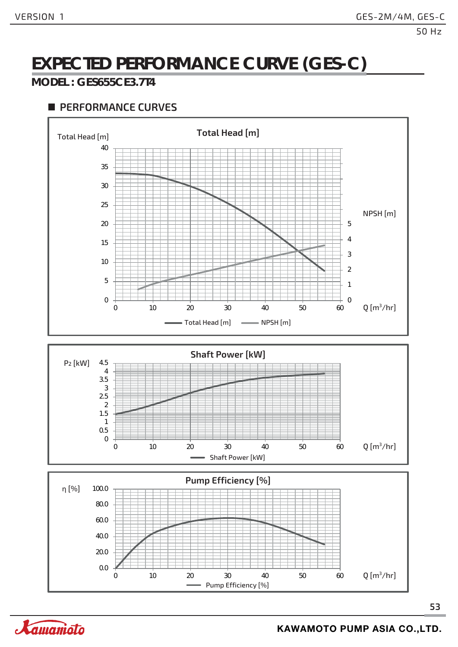# **EXPECTED PERFORMANCE CURVE (GES-C)**

#### **MODEL : GES655CE3.7T4**



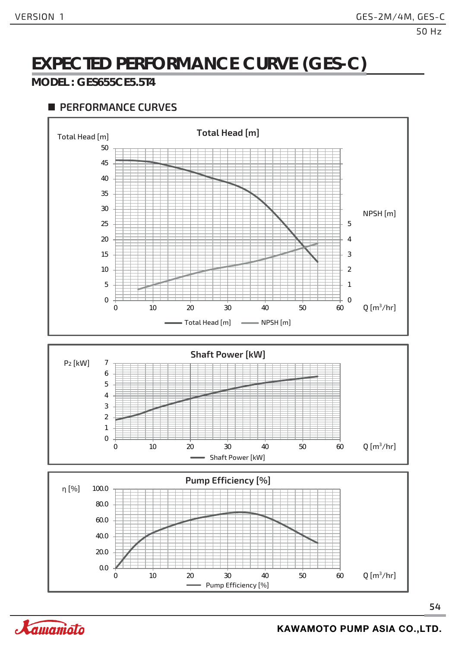# **EXPECTED PERFORMANCE CURVE (GES-C)**

#### **MODEL : GES655CE5.5T4**

#### **PERFORMANCE CURVES**



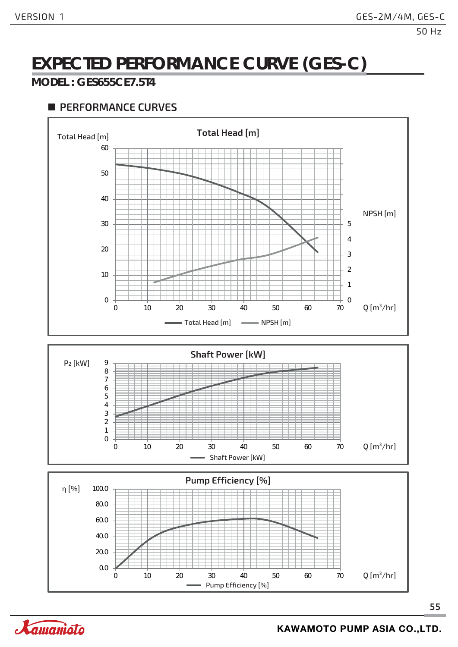# **EXPECTED PERFORMANCE CURVE (GES-C)**

#### **MODEL : GES655CE7.5T4**

#### **PERFORMANCE CURVES**